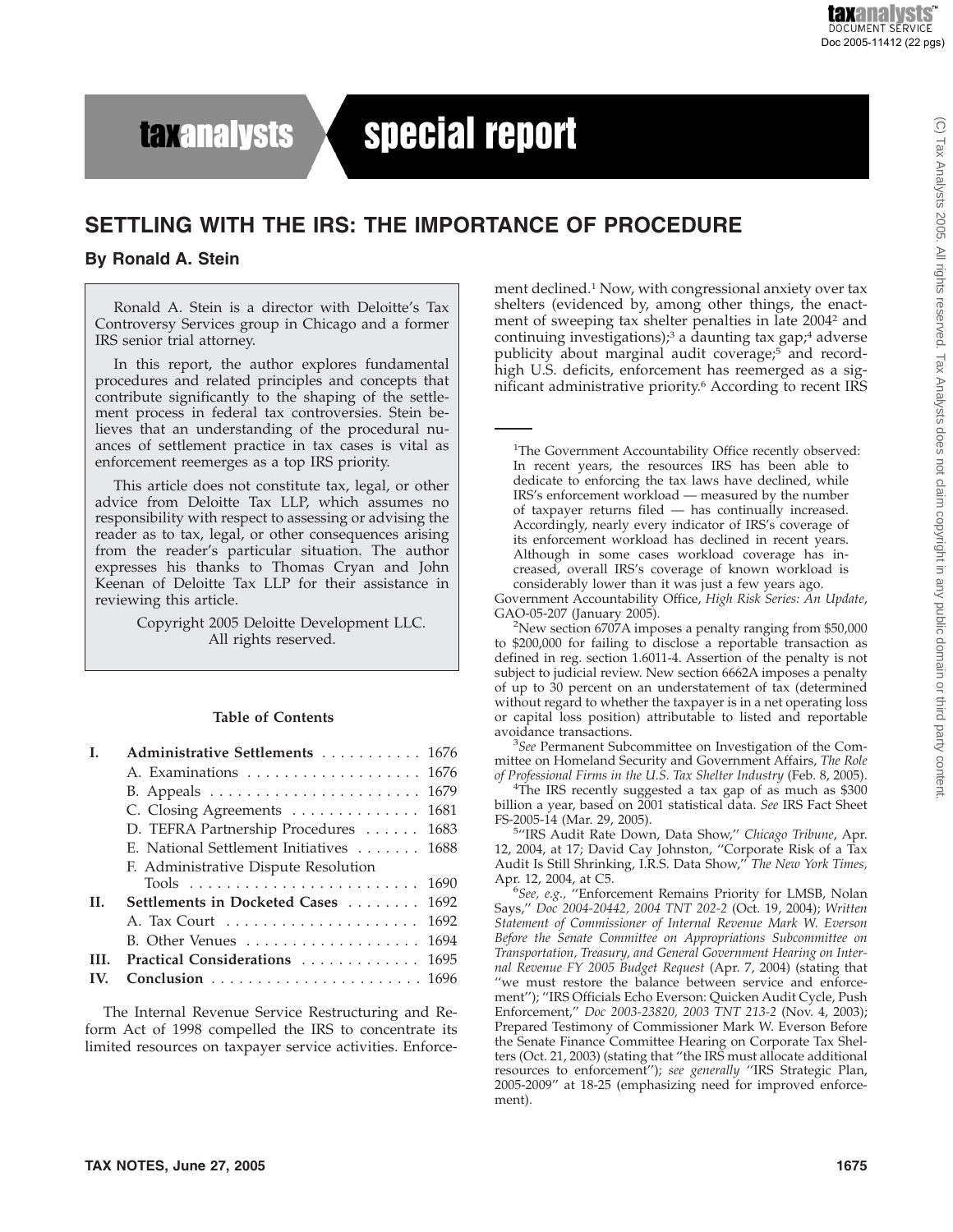## **taxanalysts**

# special report

### **SETTLING WITH THE IRS: THE IMPORTANCE OF PROCEDURE**

#### **By Ronald A. Stein**

Ronald A. Stein is a director with Deloitte's Tax Controversy Services group in Chicago and a former IRS senior trial attorney.

In this report, the author explores fundamental procedures and related principles and concepts that contribute significantly to the shaping of the settlement process in federal tax controversies. Stein believes that an understanding of the procedural nuances of settlement practice in tax cases is vital as enforcement reemerges as a top IRS priority.

This article does not constitute tax, legal, or other advice from Deloitte Tax LLP, which assumes no responsibility with respect to assessing or advising the reader as to tax, legal, or other consequences arising from the reader's particular situation. The author expresses his thanks to Thomas Cryan and John Keenan of Deloitte Tax LLP for their assistance in reviewing this article.

> Copyright 2005 Deloitte Development LLC. All rights reserved.

#### **Table of Contents**

| F. Administrative Dispute Resolution |                                                                                                                                                                                                                                                                              |
|--------------------------------------|------------------------------------------------------------------------------------------------------------------------------------------------------------------------------------------------------------------------------------------------------------------------------|
|                                      |                                                                                                                                                                                                                                                                              |
|                                      |                                                                                                                                                                                                                                                                              |
|                                      |                                                                                                                                                                                                                                                                              |
|                                      |                                                                                                                                                                                                                                                                              |
|                                      |                                                                                                                                                                                                                                                                              |
|                                      |                                                                                                                                                                                                                                                                              |
|                                      | Administrative Settlements  1676<br>A. Examinations  1676<br>C. Closing Agreements 1681<br>D. TEFRA Partnership Procedures  1683<br>E. National Settlement Initiatives  1688<br>Settlements in Docketed Cases  1692<br>B. Other Venues 1694<br>Practical Considerations 1695 |

The Internal Revenue Service Restructuring and Reform Act of 1998 compelled the IRS to concentrate its limited resources on taxpayer service activities. Enforcement declined.<sup>1</sup> Now, with congressional anxiety over tax shelters (evidenced by, among other things, the enactment of sweeping tax shelter penalties in late 20042 and continuing investigations);<sup>3</sup> a daunting tax gap;<sup>4</sup> adverse publicity about marginal audit coverage;<sup>5</sup> and recordhigh U.S. deficits, enforcement has reemerged as a significant administrative priority.6 According to recent IRS

<sup>1</sup>The Government Accountability Office recently observed: In recent years, the resources IRS has been able to dedicate to enforcing the tax laws have declined, while IRS's enforcement workload — measured by the number of taxpayer returns filed — has continually increased. Accordingly, nearly every indicator of IRS's coverage of its enforcement workload has declined in recent years. Although in some cases workload coverage has increased, overall IRS's coverage of known workload is considerably lower than it was just a few years ago.

Government Accountability Office, *High Risk Series: An Update*, GAO-05-207 (January 2005).

 $2$ New section 6707A imposes a penalty ranging from \$50,000 to \$200,000 for failing to disclose a reportable transaction as defined in reg. section 1.6011-4. Assertion of the penalty is not subject to judicial review. New section 6662A imposes a penalty of up to 30 percent on an understatement of tax (determined without regard to whether the taxpayer is in a net operating loss or capital loss position) attributable to listed and reportable avoidance transactions.

*See* Permanent Subcommittee on Investigation of the Committee on Homeland Security and Government Affairs, *The Role of Professional Firms in the U.S. Tax Shelter Industry* (Feb. 8, 2005). <sup>4</sup>

<sup>4</sup>The IRS recently suggested a tax gap of as much as \$300 billion a year, based on 2001 statistical data. *See* IRS Fact Sheet FS-2005-14 (Mar. 29, 2005).

<sup>5</sup>"IRS Audit Rate Down, Data Show," Chicago Tribune, Apr. 12, 2004, at 17; David Cay Johnston, ''Corporate Risk of a Tax Audit Is Still Shrinking, I.R.S. Data Show,'' *The New York Times,* Apr. 12, 2004, at C5.

*See, e.g.,* ''Enforcement Remains Priority for LMSB, Nolan Says,'' *Doc 2004-20442, 2004 TNT 202-2* (Oct. 19, 2004); *Written Statement of Commissioner of Internal Revenue Mark W. Everson Before the Senate Committee on Appropriations Subcommittee on Transportation, Treasury, and General Government Hearing on Internal Revenue FY 2005 Budget Request* (Apr. 7, 2004) (stating that ''we must restore the balance between service and enforcement''); ''IRS Officials Echo Everson: Quicken Audit Cycle, Push Enforcement,'' *Doc 2003-23820, 2003 TNT 213-2* (Nov. 4, 2003); Prepared Testimony of Commissioner Mark W. Everson Before the Senate Finance Committee Hearing on Corporate Tax Shelters (Oct. 21, 2003) (stating that ''the IRS must allocate additional resources to enforcement''); *see generally* ''IRS Strategic Plan, 2005-2009'' at 18-25 (emphasizing need for improved enforcement).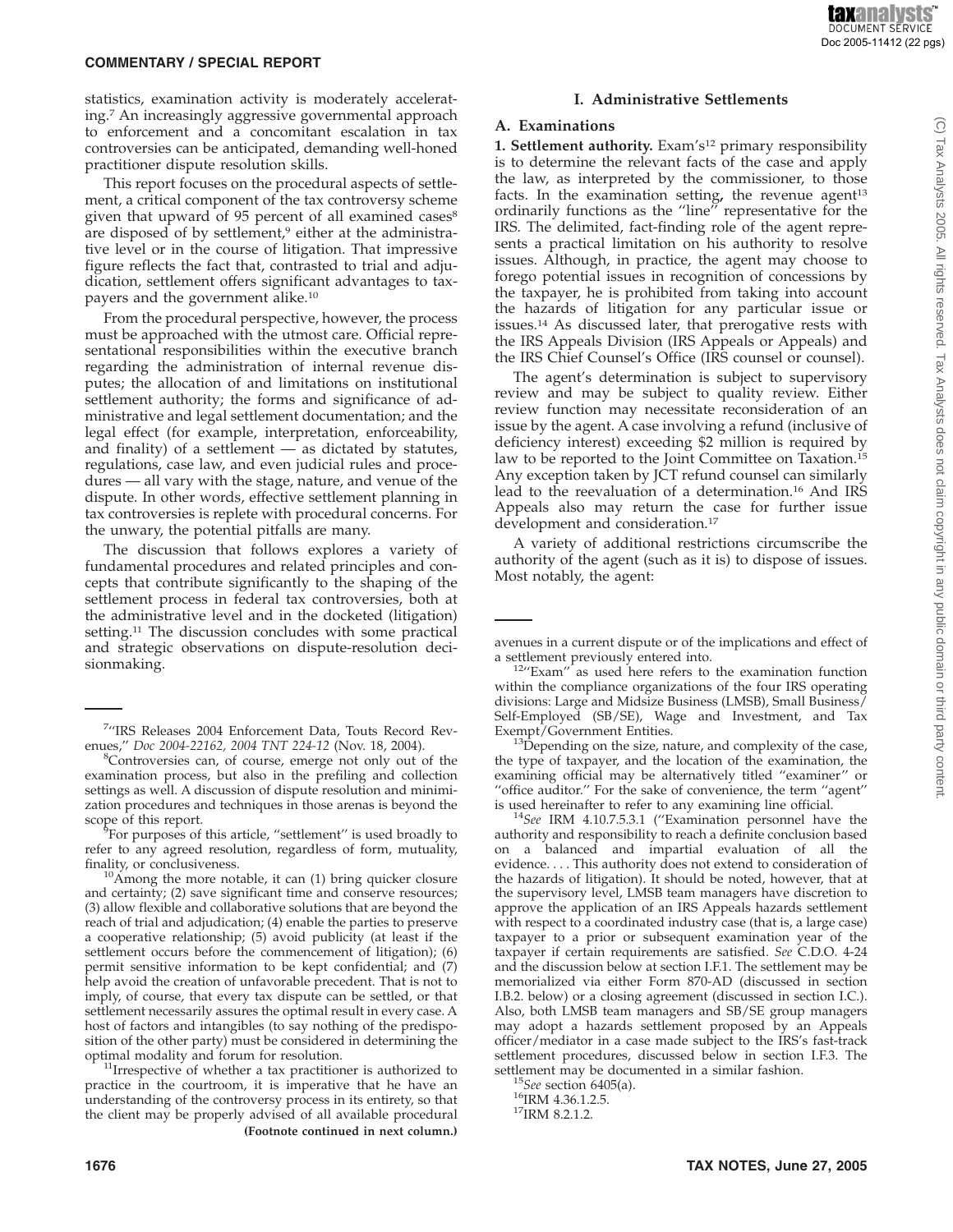statistics, examination activity is moderately accelerating.7 An increasingly aggressive governmental approach to enforcement and a concomitant escalation in tax controversies can be anticipated, demanding well-honed practitioner dispute resolution skills.

This report focuses on the procedural aspects of settlement, a critical component of the tax controversy scheme given that upward of 95 percent of all examined cases<sup>8</sup> are disposed of by settlement,<sup>9</sup> either at the administrative level or in the course of litigation. That impressive figure reflects the fact that, contrasted to trial and adjudication, settlement offers significant advantages to taxpayers and the government alike.10

From the procedural perspective, however, the process must be approached with the utmost care. Official representational responsibilities within the executive branch regarding the administration of internal revenue disputes; the allocation of and limitations on institutional settlement authority; the forms and significance of administrative and legal settlement documentation; and the legal effect (for example, interpretation, enforceability, and finality) of a settlement — as dictated by statutes, regulations, case law, and even judicial rules and procedures — all vary with the stage, nature, and venue of the dispute. In other words, effective settlement planning in tax controversies is replete with procedural concerns. For the unwary, the potential pitfalls are many.

The discussion that follows explores a variety of fundamental procedures and related principles and concepts that contribute significantly to the shaping of the settlement process in federal tax controversies, both at the administrative level and in the docketed (litigation) setting.<sup>11</sup> The discussion concludes with some practical and strategic observations on dispute-resolution decisionmaking.

#### **I. Administrative Settlements**

#### **A. Examinations**

**1. Settlement authority.** Exam's12 primary responsibility is to determine the relevant facts of the case and apply the law, as interpreted by the commissioner, to those facts. In the examination setting, the revenue agent<sup>13</sup> ordinarily functions as the "line" representative for the IRS. The delimited, fact-finding role of the agent represents a practical limitation on his authority to resolve issues. Although, in practice, the agent may choose to forego potential issues in recognition of concessions by the taxpayer, he is prohibited from taking into account the hazards of litigation for any particular issue or issues.14 As discussed later, that prerogative rests with the IRS Appeals Division (IRS Appeals or Appeals) and the IRS Chief Counsel's Office (IRS counsel or counsel).

The agent's determination is subject to supervisory review and may be subject to quality review. Either review function may necessitate reconsideration of an issue by the agent. A case involving a refund (inclusive of deficiency interest) exceeding \$2 million is required by law to be reported to the Joint Committee on Taxation.<sup>15</sup> Any exception taken by JCT refund counsel can similarly lead to the reevaluation of a determination.16 And IRS Appeals also may return the case for further issue development and consideration.<sup>17</sup>

A variety of additional restrictions circumscribe the authority of the agent (such as it is) to dispose of issues. Most notably, the agent:

Exempt/Government Entities.<br><sup>13</sup>Depending on the size, nature, and complexity of the case, the type of taxpayer, and the location of the examination, the examining official may be alternatively titled ''examiner'' or "office auditor." For the sake of convenience, the term "agent" is used hereinafter to refer to any examining line official.

<sup>14</sup>See IRM 4.10.7.5.3.1 ("Examination personnel have the authority and responsibility to reach a definite conclusion based on a balanced and impartial evaluation of all the evidence.... This authority does not extend to consideration of the hazards of litigation). It should be noted, however, that at the supervisory level, LMSB team managers have discretion to approve the application of an IRS Appeals hazards settlement with respect to a coordinated industry case (that is, a large case) taxpayer to a prior or subsequent examination year of the taxpayer if certain requirements are satisfied. *See* C.D.O. 4-24 and the discussion below at section I.F.1. The settlement may be memorialized via either Form 870-AD (discussed in section I.B.2. below) or a closing agreement (discussed in section I.C.). Also, both LMSB team managers and SB/SE group managers may adopt a hazards settlement proposed by an Appeals officer/mediator in a case made subject to the IRS's fast-track settlement procedures, discussed below in section I.F.3. The settlement may be documented in a similar fashion.<br><sup>15</sup>*See* section 6405(a).<br><sup>16</sup>IRM 4.36.1.2.5.<br><sup>17</sup>IRM 8.2.1.2.

<sup>7</sup> ''IRS Releases 2004 Enforcement Data, Touts Record Revenues," *Doc 2004-22162, 2004 TNT 224-12* (Nov. 18, 2004).

<sup>&</sup>lt;sup>8</sup>Controversies can, of course, emerge not only out of the examination process, but also in the prefiling and collection settings as well. A discussion of dispute resolution and minimization procedures and techniques in those arenas is beyond the scope of this report.

<sup>&</sup>lt;sup>9</sup>For purposes of this article, "settlement" is used broadly to refer to any agreed resolution, regardless of form, mutuality, finality, or conclusiveness.  $10A$ mong the more notable, it can (1) bring quicker closure

and certainty; (2) save significant time and conserve resources; (3) allow flexible and collaborative solutions that are beyond the reach of trial and adjudication; (4) enable the parties to preserve a cooperative relationship; (5) avoid publicity (at least if the settlement occurs before the commencement of litigation); (6) permit sensitive information to be kept confidential; and (7) help avoid the creation of unfavorable precedent. That is not to imply, of course, that every tax dispute can be settled, or that settlement necessarily assures the optimal result in every case. A host of factors and intangibles (to say nothing of the predisposition of the other party) must be considered in determining the

 $11$ Irrespective of whether a tax practitioner is authorized to practice in the courtroom, it is imperative that he have an understanding of the controversy process in its entirety, so that the client may be properly advised of all available procedural **(Footnote continued in next column.)**

avenues in a current dispute or of the implications and effect of

 $12''$ Exam'' as used here refers to the examination function within the compliance organizations of the four IRS operating divisions: Large and Midsize Business (LMSB), Small Business/ Self-Employed (SB/SE), Wage and Investment, and Tax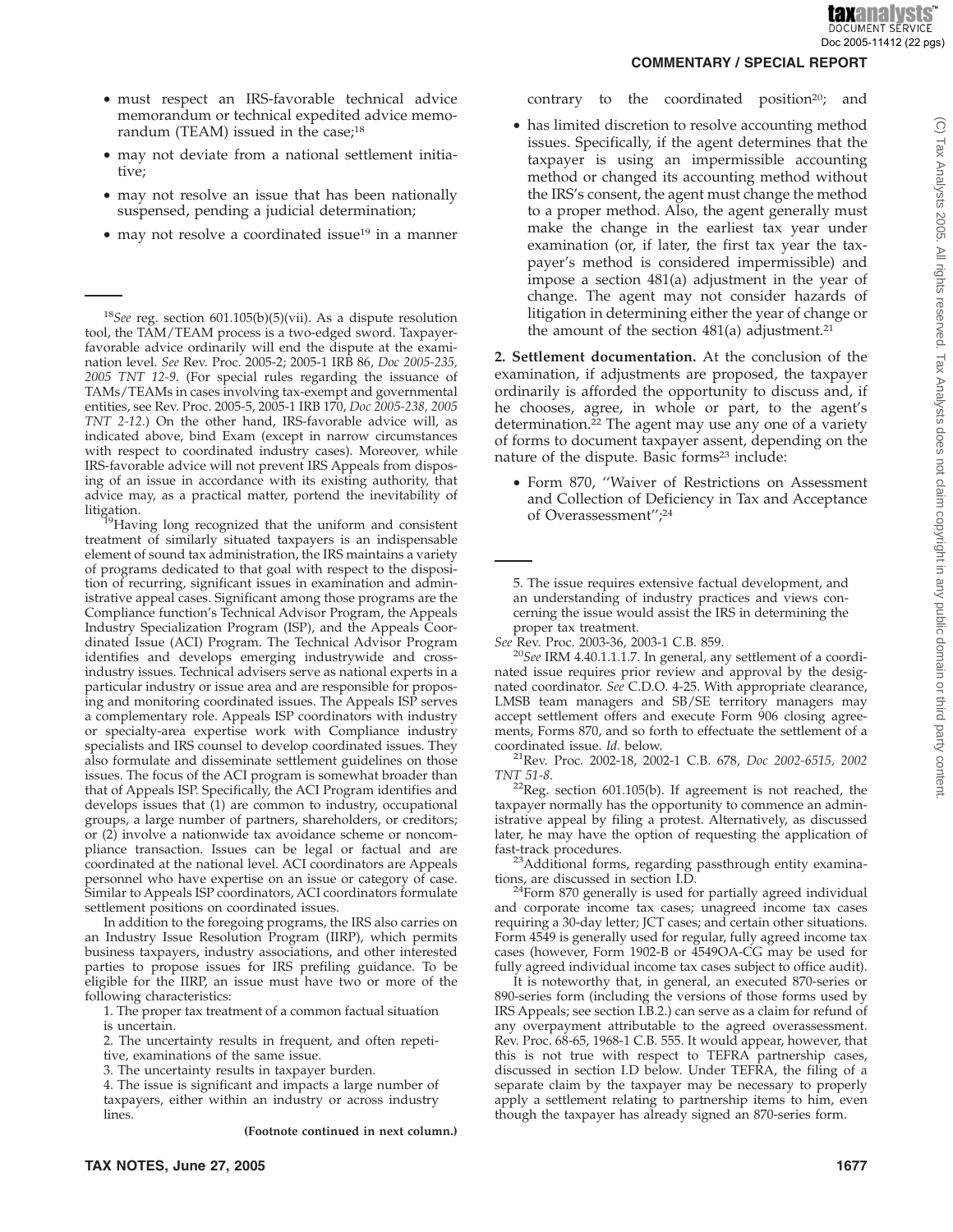C) Tax Analysts 2005. All rights reserved. Tax Analysts does not claim copyright in any public domain or third party content

- must respect an IRS-favorable technical advice memorandum or technical expedited advice memorandum (TEAM) issued in the case;<sup>18</sup>
- may not deviate from a national settlement initiative;
- may not resolve an issue that has been nationally suspensed, pending a judicial determination;
- may not resolve a coordinated issue<sup>19</sup> in a manner

<sup>18</sup>*See* reg. section 601.105(b)(5)(vii). As a dispute resolution tool, the TAM/TEAM process is a two-edged sword. Taxpayerfavorable advice ordinarily will end the dispute at the examination level. *See* Rev. Proc. 2005-2; 2005-1 IRB 86, *Doc 2005-235, 2005 TNT 12-9*. (For special rules regarding the issuance of TAMs/TEAMs in cases involving tax-exempt and governmental entities, see Rev. Proc. 2005-5, 2005-1 IRB 170, *Doc 2005-238, 2005 TNT 2-12*.) On the other hand, IRS-favorable advice will, as indicated above, bind Exam (except in narrow circumstances with respect to coordinated industry cases). Moreover, while IRS-favorable advice will not prevent IRS Appeals from disposing of an issue in accordance with its existing authority, that advice may, as a practical matter, portend the inevitability of

<sup>19</sup>Having long recognized that the uniform and consistent treatment of similarly situated taxpayers is an indispensable element of sound tax administration, the IRS maintains a variety of programs dedicated to that goal with respect to the disposition of recurring, significant issues in examination and administrative appeal cases. Significant among those programs are the Compliance function's Technical Advisor Program, the Appeals Industry Specialization Program (ISP), and the Appeals Coordinated Issue (ACI) Program. The Technical Advisor Program identifies and develops emerging industrywide and crossindustry issues. Technical advisers serve as national experts in a particular industry or issue area and are responsible for proposing and monitoring coordinated issues. The Appeals ISP serves a complementary role. Appeals ISP coordinators with industry or specialty-area expertise work with Compliance industry specialists and IRS counsel to develop coordinated issues. They also formulate and disseminate settlement guidelines on those issues. The focus of the ACI program is somewhat broader than that of Appeals ISP. Specifically, the ACI Program identifies and develops issues that (1) are common to industry, occupational groups, a large number of partners, shareholders, or creditors; or (2) involve a nationwide tax avoidance scheme or noncompliance transaction. Issues can be legal or factual and are coordinated at the national level. ACI coordinators are Appeals personnel who have expertise on an issue or category of case. Similar to Appeals ISP coordinators, ACI coordinators formulate settlement positions on coordinated issues.

In addition to the foregoing programs, the IRS also carries on an Industry Issue Resolution Program (IIRP), which permits business taxpayers, industry associations, and other interested parties to propose issues for IRS prefiling guidance. To be eligible for the IIRP, an issue must have two or more of the following characteristics:

1. The proper tax treatment of a common factual situation is uncertain.

2. The uncertainty results in frequent, and often repeti-

tive, examinations of the same issue.

3. The uncertainty results in taxpayer burden.

4. The issue is significant and impacts a large number of taxpayers, either within an industry or across industry lines.

**(Footnote continued in next column.)**

**COMMENTARY / SPECIAL REPORT**

• has limited discretion to resolve accounting method issues. Specifically, if the agent determines that the taxpayer is using an impermissible accounting method or changed its accounting method without the IRS's consent, the agent must change the method to a proper method. Also, the agent generally must make the change in the earliest tax year under examination (or, if later, the first tax year the taxpayer's method is considered impermissible) and impose a section 481(a) adjustment in the year of change. The agent may not consider hazards of litigation in determining either the year of change or the amount of the section  $481(a)$  adjustment.<sup>21</sup>

contrary to the coordinated position<sup>20</sup>; and

**2. Settlement documentation.** At the conclusion of the examination, if adjustments are proposed, the taxpayer ordinarily is afforded the opportunity to discuss and, if he chooses, agree, in whole or part, to the agent's determination.<sup>22</sup> The agent may use any one of a variety of forms to document taxpayer assent, depending on the nature of the dispute. Basic forms<sup>23</sup> include:

• Form 870, ''Waiver of Restrictions on Assessment and Collection of Deficiency in Tax and Acceptance of Overassessment'';24

5. The issue requires extensive factual development, and an understanding of industry practices and views concerning the issue would assist the IRS in determining the proper tax treatment.

*See* Rev. Proc. 2003-36, 2003-1 C.B. 859.

<sup>20</sup>*See* IRM 4.40.1.1.1.7. In general, any settlement of a coordinated issue requires prior review and approval by the designated coordinator. *See* C.D.O. 4-25. With appropriate clearance, LMSB team managers and SB/SE territory managers may accept settlement offers and execute Form 906 closing agreements, Forms 870, and so forth to effectuate the settlement of a

coordinated issue. *Id.* below. 21Rev. Proc. 2002-18, 2002-1 C.B. 678, *Doc 2002-6515, 2002*

*TNT 51-8*. <br><sup>22</sup>Reg. section 601.105(b). If agreement is not reached, the taxpayer normally has the opportunity to commence an administrative appeal by filing a protest. Alternatively, as discussed later, he may have the option of requesting the application of

<sup>23</sup>Additional forms, regarding passthrough entity examina-

tions, are discussed in section I.D.<br><sup>24</sup>Form 870 generally is used for partially agreed individual and corporate income tax cases; unagreed income tax cases requiring a 30-day letter; JCT cases; and certain other situations. Form 4549 is generally used for regular, fully agreed income tax cases (however, Form 1902-B or 4549OA-CG may be used for fully agreed individual income tax cases subject to office audit).

It is noteworthy that, in general, an executed 870-series or 890-series form (including the versions of those forms used by IRS Appeals; see section I.B.2.) can serve as a claim for refund of any overpayment attributable to the agreed overassessment. Rev. Proc. 68-65, 1968-1 C.B. 555. It would appear, however, that this is not true with respect to TEFRA partnership cases, discussed in section I.D below. Under TEFRA, the filing of a separate claim by the taxpayer may be necessary to properly apply a settlement relating to partnership items to him, even though the taxpayer has already signed an 870-series form.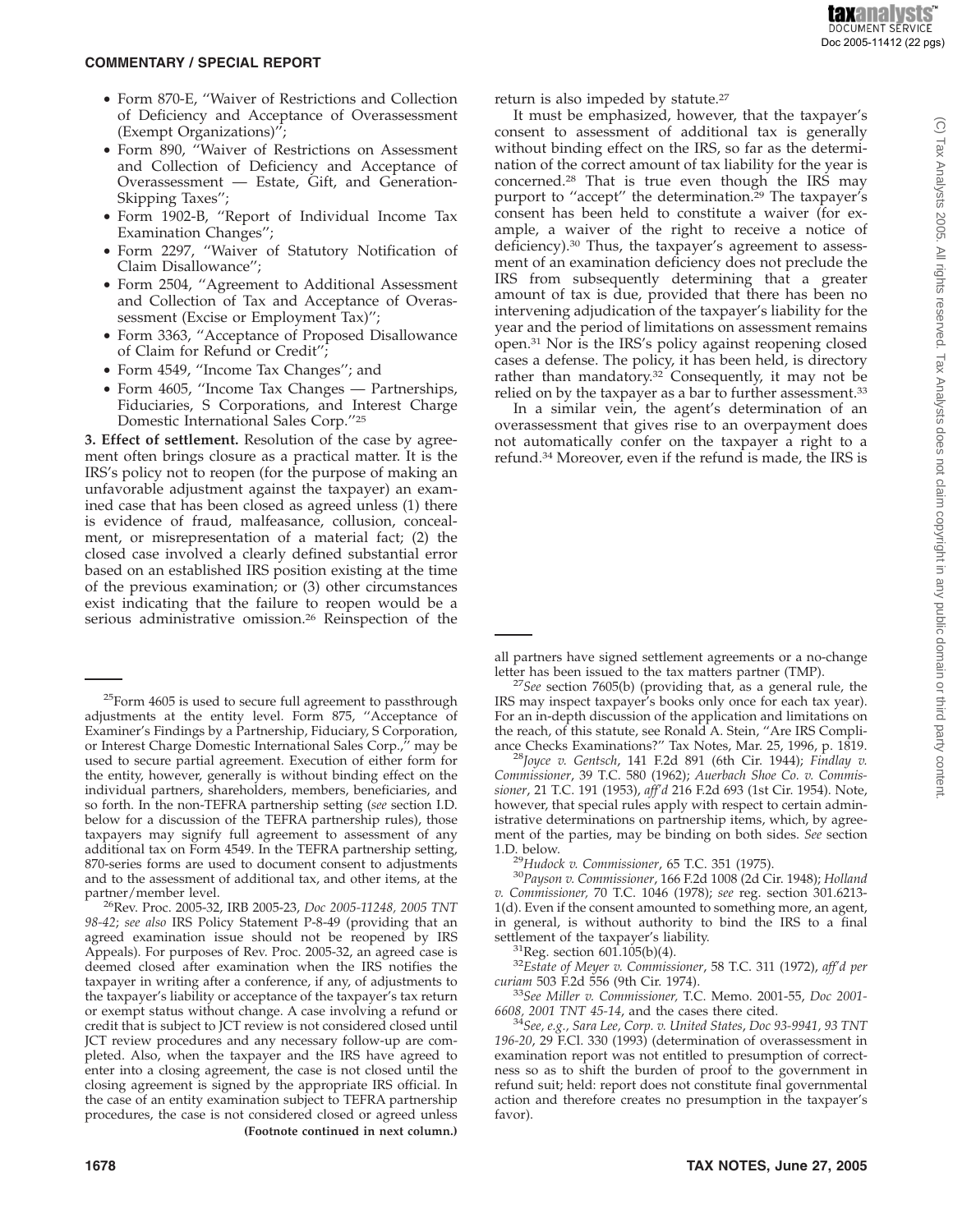- Form 870-E, ''Waiver of Restrictions and Collection of Deficiency and Acceptance of Overassessment (Exempt Organizations)'';
- Form 890, ''Waiver of Restrictions on Assessment and Collection of Deficiency and Acceptance of Overassessment — Estate, Gift, and Generation-Skipping Taxes'';
- Form 1902-B, ''Report of Individual Income Tax Examination Changes'';
- Form 2297, ''Waiver of Statutory Notification of Claim Disallowance'';
- Form 2504, ''Agreement to Additional Assessment and Collection of Tax and Acceptance of Overassessment (Excise or Employment Tax)'';
- Form 3363, ''Acceptance of Proposed Disallowance of Claim for Refund or Credit'';
- Form 4549, ''Income Tax Changes''; and
- Form 4605, ''Income Tax Changes Partnerships, Fiduciaries, S Corporations, and Interest Charge Domestic International Sales Corp.''25

**3. Effect of settlement.** Resolution of the case by agreement often brings closure as a practical matter. It is the IRS's policy not to reopen (for the purpose of making an unfavorable adjustment against the taxpayer) an examined case that has been closed as agreed unless (1) there is evidence of fraud, malfeasance, collusion, concealment, or misrepresentation of a material fact; (2) the closed case involved a clearly defined substantial error based on an established IRS position existing at the time of the previous examination; or (3) other circumstances exist indicating that the failure to reopen would be a serious administrative omission.<sup>26</sup> Reinspection of the

 $25$ Form 4605 is used to secure full agreement to passthrough adjustments at the entity level. Form 875, ''Acceptance of Examiner's Findings by a Partnership, Fiduciary, S Corporation, or Interest Charge Domestic International Sales Corp.,'' may be used to secure partial agreement. Execution of either form for the entity, however, generally is without binding effect on the individual partners, shareholders, members, beneficiaries, and so forth. In the non-TEFRA partnership setting (*see* section I.D. below for a discussion of the TEFRA partnership rules), those taxpayers may signify full agreement to assessment of any additional tax on Form 4549. In the TEFRA partnership setting, 870-series forms are used to document consent to adjustments and to the assessment of additional tax, and other items, at the

partner/member level. 26Rev. Proc. 2005-32, IRB 2005-23, *Doc 2005-11248, 2005 TNT 98-42*; *see also* IRS Policy Statement P-8-49 (providing that an agreed examination issue should not be reopened by IRS Appeals). For purposes of Rev. Proc. 2005-32, an agreed case is deemed closed after examination when the IRS notifies the taxpayer in writing after a conference, if any, of adjustments to the taxpayer's liability or acceptance of the taxpayer's tax return or exempt status without change. A case involving a refund or credit that is subject to JCT review is not considered closed until JCT review procedures and any necessary follow-up are completed. Also, when the taxpayer and the IRS have agreed to enter into a closing agreement, the case is not closed until the closing agreement is signed by the appropriate IRS official. In the case of an entity examination subject to TEFRA partnership procedures, the case is not considered closed or agreed unless **(Footnote continued in next column.)**

return is also impeded by statute.<sup>27</sup>

It must be emphasized, however, that the taxpayer's consent to assessment of additional tax is generally without binding effect on the IRS, so far as the determination of the correct amount of tax liability for the year is concerned.28 That is true even though the IRS may purport to "accept" the determination.<sup>29</sup> The taxpayer's consent has been held to constitute a waiver (for example, a waiver of the right to receive a notice of deficiency).30 Thus, the taxpayer's agreement to assessment of an examination deficiency does not preclude the IRS from subsequently determining that a greater amount of tax is due, provided that there has been no intervening adjudication of the taxpayer's liability for the year and the period of limitations on assessment remains open.31 Nor is the IRS's policy against reopening closed cases a defense. The policy, it has been held, is directory rather than mandatory.<sup>32</sup> Consequently, it may not be relied on by the taxpayer as a bar to further assessment.33

In a similar vein, the agent's determination of an overassessment that gives rise to an overpayment does not automatically confer on the taxpayer a right to a refund.34 Moreover, even if the refund is made, the IRS is

letter has been issued to the tax matters partner (TMP). <sup>27</sup>*See* section 7605(b) (providing that, as a general rule, the IRS may inspect taxpayer's books only once for each tax year). For an in-depth discussion of the application and limitations on the reach, of this statute, see Ronald A. Stein, "Are IRS Compliance Checks Examinations?" Tax Notes, Mar. 25, 1996, p. 1819.

<sup>28</sup>Joyce v. Gentsch, 141 F.2d 891 (6th Cir. 1944); *Findlay v. Commissioner*, 39 T.C. 580 (1962); *Auerbach Shoe Co. v. Commissioner*, 21 T.C. 191 (1953), *aff'd* 216 F.2d 693 (1st Cir. 1954). Note, however, that special rules apply with respect to certain administrative determinations on partnership items, which, by agreement of the parties, may be binding on both sides. *See* section

1.D. below. <sup>29</sup>*Hudock v. Commissioner*, 65 T.C. 351 (1975). <sup>30</sup>*Payson v. Commissioner*, 166 F.2d 1008 (2d Cir. 1948); *Holland v. Commissioner,* 70 T.C. 1046 (1978); *see* reg. section 301.6213- 1(d). Even if the consent amounted to something more, an agent, in general, is without authority to bind the IRS to a final

<sup>31</sup>Reg. section 601.105(b)(4). <sup>32</sup>*Estate of Meyer v. Commissioner*, 58 T.C. 311 (1972), *aff'd per curiam* 503 F.2d 556 (9th Cir. 1974).

*curiam* 503 F.2d 556 (9th Cir. 1974). <sup>33</sup>*See Miller v. Commissioner,* T.C. Memo. 2001-55, *Doc 2001-*

*6608, 2001 TNT 45-14*, and the cases there cited. <sup>34</sup>*See, e.g., Sara Lee, Corp. v. United States*, *Doc 93-9941, 93 TNT 196-20*, 29 F.Cl. 330 (1993) (determination of overassessment in examination report was not entitled to presumption of correctness so as to shift the burden of proof to the government in refund suit; held: report does not constitute final governmental action and therefore creates no presumption in the taxpayer's favor).

all partners have signed settlement agreements or a no-change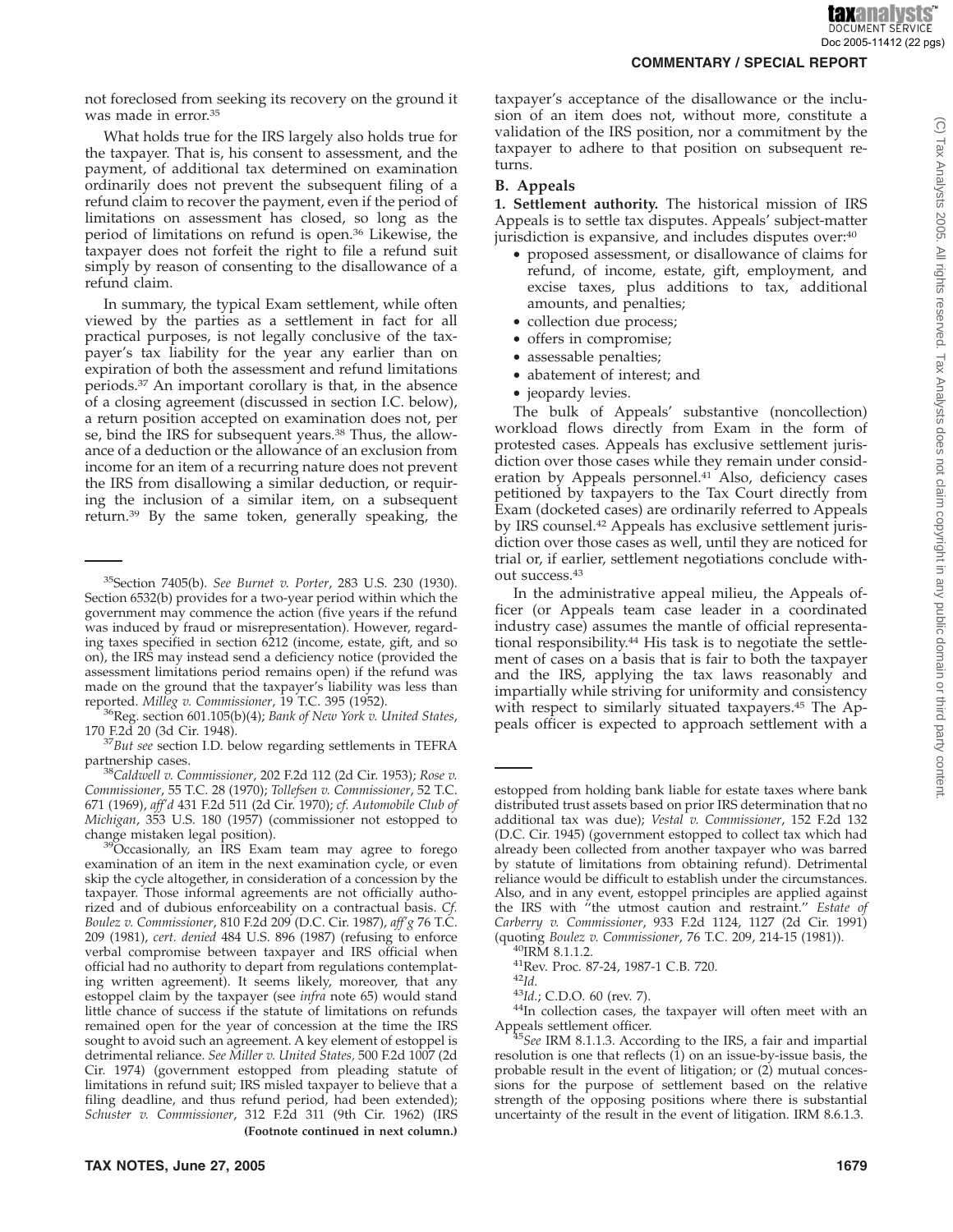(C) Tax Analysts 2005. All rights reserved. Tax Analysts does not claim copyright in any public domain or third party content

not foreclosed from seeking its recovery on the ground it was made in error.35

What holds true for the IRS largely also holds true for the taxpayer. That is, his consent to assessment, and the payment, of additional tax determined on examination ordinarily does not prevent the subsequent filing of a refund claim to recover the payment, even if the period of limitations on assessment has closed, so long as the period of limitations on refund is open.36 Likewise, the taxpayer does not forfeit the right to file a refund suit simply by reason of consenting to the disallowance of a refund claim.

In summary, the typical Exam settlement, while often viewed by the parties as a settlement in fact for all practical purposes, is not legally conclusive of the taxpayer's tax liability for the year any earlier than on expiration of both the assessment and refund limitations periods.37 An important corollary is that, in the absence of a closing agreement (discussed in section I.C. below), a return position accepted on examination does not, per se, bind the IRS for subsequent years.38 Thus, the allowance of a deduction or the allowance of an exclusion from income for an item of a recurring nature does not prevent the IRS from disallowing a similar deduction, or requiring the inclusion of a similar item, on a subsequent return.39 By the same token, generally speaking, the

 $39O$ ccasionally, an IRS Exam team may agree to forego examination of an item in the next examination cycle, or even skip the cycle altogether, in consideration of a concession by the taxpayer. Those informal agreements are not officially authorized and of dubious enforceability on a contractual basis. *Cf. Boulez v. Commissioner*, 810 F.2d 209 (D.C. Cir. 1987), *aff'g* 76 T.C. 209 (1981), *cert. denied* 484 U.S. 896 (1987) (refusing to enforce verbal compromise between taxpayer and IRS official when official had no authority to depart from regulations contemplating written agreement). It seems likely, moreover, that any estoppel claim by the taxpayer (see *infra* note 65) would stand little chance of success if the statute of limitations on refunds remained open for the year of concession at the time the IRS sought to avoid such an agreement. A key element of estoppel is detrimental reliance. *See Miller v. United States,* 500 F.2d 1007 (2d Cir. 1974) (government estopped from pleading statute of limitations in refund suit; IRS misled taxpayer to believe that a filing deadline, and thus refund period, had been extended); *Schuster v. Commissioner*, 312 F.2d 311 (9th Cir. 1962) (IRS **(Footnote continued in next column.)**

taxpayer's acceptance of the disallowance or the inclusion of an item does not, without more, constitute a validation of the IRS position, nor a commitment by the taxpayer to adhere to that position on subsequent returns.

#### **B. Appeals**

**1. Settlement authority.** The historical mission of IRS Appeals is to settle tax disputes. Appeals' subject-matter jurisdiction is expansive, and includes disputes over:<sup>40</sup>

- proposed assessment, or disallowance of claims for refund, of income, estate, gift, employment, and excise taxes, plus additions to tax, additional amounts, and penalties;
- collection due process;
- offers in compromise;
- assessable penalties;
- abatement of interest; and
- jeopardy levies.

The bulk of Appeals' substantive (noncollection) workload flows directly from Exam in the form of protested cases. Appeals has exclusive settlement jurisdiction over those cases while they remain under consideration by Appeals personnel.<sup>41</sup> Also, deficiency cases petitioned by taxpayers to the Tax Court directly from Exam (docketed cases) are ordinarily referred to Appeals by IRS counsel.42 Appeals has exclusive settlement jurisdiction over those cases as well, until they are noticed for trial or, if earlier, settlement negotiations conclude without success.43

In the administrative appeal milieu, the Appeals officer (or Appeals team case leader in a coordinated industry case) assumes the mantle of official representational responsibility.44 His task is to negotiate the settlement of cases on a basis that is fair to both the taxpayer and the IRS, applying the tax laws reasonably and impartially while striving for uniformity and consistency with respect to similarly situated taxpayers.45 The Appeals officer is expected to approach settlement with a

<sup>40</sup>IRM 8.1.1.2.<br><sup>41</sup>Rev. Proc. 87-24, 1987-1 C.B. 720.<br><sup>42</sup>Id.<br><sup>43</sup>Id.; C.D.O. 60 (rev. 7).<br><sup>44</sup>In collection cases, the taxpayer will often meet with an

<sup>35</sup>Section 7405(b). *See Burnet v. Porter*, 283 U.S. 230 (1930). Section 6532(b) provides for a two-year period within which the government may commence the action (five years if the refund was induced by fraud or misrepresentation). However, regarding taxes specified in section 6212 (income, estate, gift, and so on), the IRS may instead send a deficiency notice (provided the assessment limitations period remains open) if the refund was made on the ground that the taxpayer's liability was less than

reported. *Milleg v. Commissioner*, 19 T.C. 395 (1952). 36Reg. section 601.105(b)(4); *Bank of New York v. United States*,

<sup>170</sup> F.2d 20 (3d Cir. 1948). <sup>37</sup>*But see* section I.D. below regarding settlements in TEFRA partnership cases.

partnership cases. <sup>38</sup>*Caldwell v. Commissioner*, 202 F.2d 112 (2d Cir. 1953); *Rose v. Commissioner*, 55 T.C. 28 (1970); *Tollefsen v. Commissioner*, 52 T.C. 671 (1969), *aff'd* 431 F.2d 511 (2d Cir. 1970); *cf. Automobile Club of Michigan*, 353 U.S. 180 (1957) (commissioner not estopped to

estopped from holding bank liable for estate taxes where bank distributed trust assets based on prior IRS determination that no additional tax was due); *Vestal v. Commissioner*, 152 F.2d 132 (D.C. Cir. 1945) (government estopped to collect tax which had already been collected from another taxpayer who was barred by statute of limitations from obtaining refund). Detrimental reliance would be difficult to establish under the circumstances. Also, and in any event, estoppel principles are applied against the IRS with ''the utmost caution and restraint.'' *Estate of Carberry v. Commissioner*, 933 F.2d 1124, 1127 (2d Cir. 1991)

Appeals settlement officer. <sup>45</sup>*See* IRM 8.1.1.3. According to the IRS, a fair and impartial resolution is one that reflects  $(1)$  on an issue-by-issue basis, the probable result in the event of litigation; or (2) mutual concessions for the purpose of settlement based on the relative strength of the opposing positions where there is substantial uncertainty of the result in the event of litigation. IRM 8.6.1.3.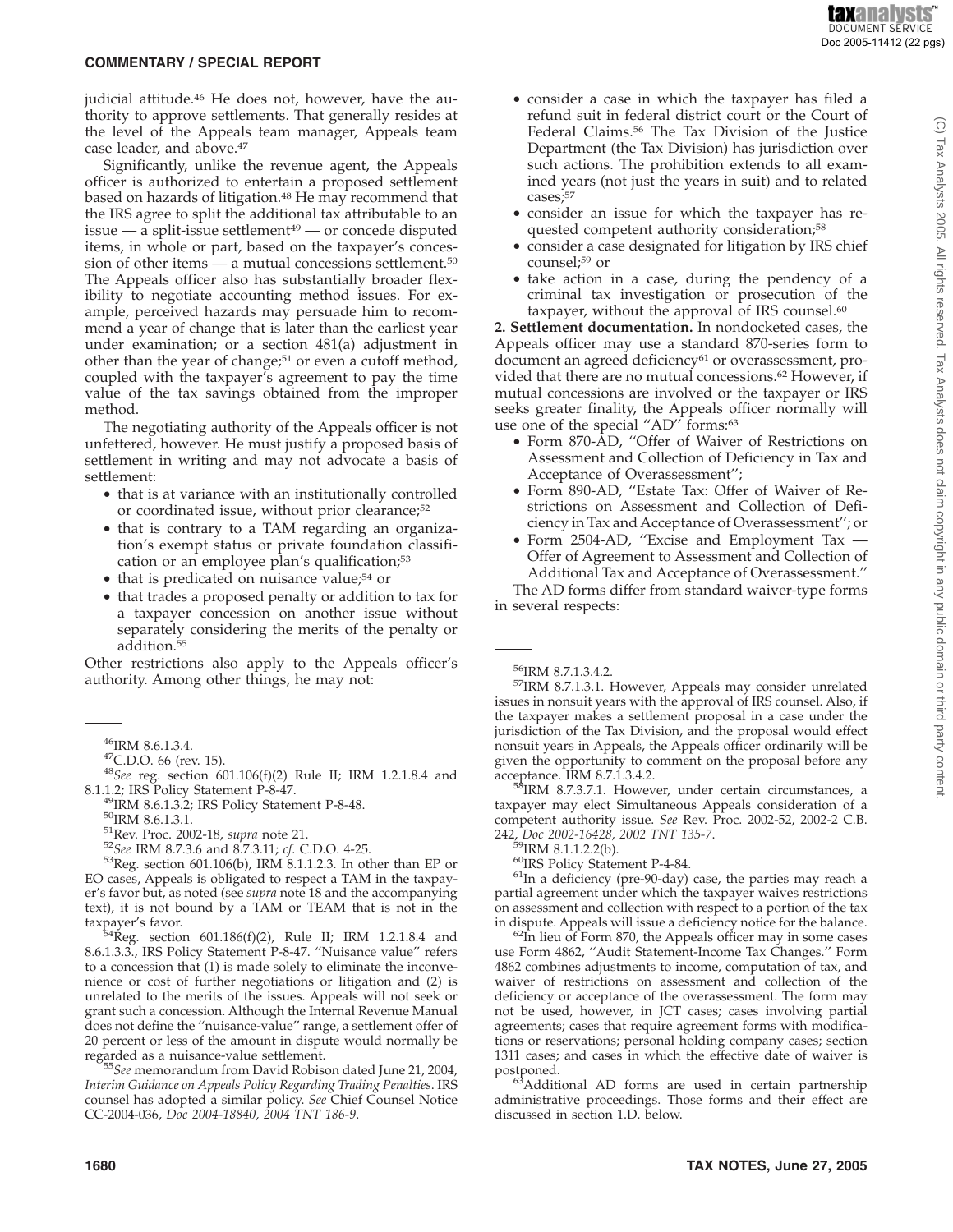**taxanalysts DOCUMENT SERVICE** Doc 2005-11412 (22 pgs)

#### **COMMENTARY / SPECIAL REPORT**

judicial attitude.<sup>46</sup> He does not, however, have the authority to approve settlements. That generally resides at the level of the Appeals team manager, Appeals team case leader, and above.<sup>47</sup>

Significantly, unlike the revenue agent, the Appeals officer is authorized to entertain a proposed settlement based on hazards of litigation.<sup>48</sup> He may recommend that the IRS agree to split the additional tax attributable to an  $is sue - a split-is sue settlement<sup>49</sup> - or concede displayed$ items, in whole or part, based on the taxpayer's concession of other items — a mutual concessions settlement.<sup>50</sup> The Appeals officer also has substantially broader flexibility to negotiate accounting method issues. For example, perceived hazards may persuade him to recommend a year of change that is later than the earliest year under examination; or a section 481(a) adjustment in other than the year of change;<sup>51</sup> or even a cutoff method, coupled with the taxpayer's agreement to pay the time value of the tax savings obtained from the improper method.

The negotiating authority of the Appeals officer is not unfettered, however. He must justify a proposed basis of settlement in writing and may not advocate a basis of settlement:

- that is at variance with an institutionally controlled or coordinated issue, without prior clearance;<sup>52</sup>
- that is contrary to a TAM regarding an organization's exempt status or private foundation classification or an employee plan's qualification;<sup>53</sup>
- that is predicated on nuisance value;<sup>54</sup> or
- that trades a proposed penalty or addition to tax for a taxpayer concession on another issue without separately considering the merits of the penalty or addition.<sup>55</sup>

Other restrictions also apply to the Appeals officer's authority. Among other things, he may not:

8.1.1.2; IRS Policy Statement P-8-47.<br><sup>49</sup>IRM 8.6.1.3.2; IRS Policy Statement P-8-48.<br><sup>50</sup>IRM 8.6.1.3.1.<br><sup>51</sup>Rev. Proc. 2002-18, *supra* note 21.<br><sup>52</sup>*See* IRM 8.7.3.6 and 8.7.3.11; *cf.* C.D.O. 4-25.<br><sup>53</sup>Reg. section 601 EO cases, Appeals is obligated to respect a TAM in the taxpayer's favor but, as noted (see *supra* note 18 and the accompanying text), it is not bound by a TAM or TEAM that is not in the

taxpayer's favor.<br> $54$ Reg. section 601.186(f)(2), Rule II; IRM 1.2.1.8.4 and 8.6.1.3.3., IRS Policy Statement P-8-47. ''Nuisance value'' refers to a concession that (1) is made solely to eliminate the inconvenience or cost of further negotiations or litigation and (2) is unrelated to the merits of the issues. Appeals will not seek or grant such a concession. Although the Internal Revenue Manual does not define the ''nuisance-value'' range, a settlement offer of 20 percent or less of the amount in dispute would normally be

<sup>55</sup>See memorandum from David Robison dated June 21, 2004, *Interim Guidance on Appeals Policy Regarding Trading Penalties*. IRS counsel has adopted a similar policy. *See* Chief Counsel Notice CC-2004-036, *Doc 2004-18840, 2004 TNT 186-9*.

- consider a case in which the taxpayer has filed a refund suit in federal district court or the Court of Federal Claims.56 The Tax Division of the Justice Department (the Tax Division) has jurisdiction over such actions. The prohibition extends to all examined years (not just the years in suit) and to related cases;<sup>57</sup>
- consider an issue for which the taxpayer has requested competent authority consideration;<sup>58</sup>
- consider a case designated for litigation by IRS chief counsel;59 or
- take action in a case, during the pendency of a criminal tax investigation or prosecution of the taxpayer, without the approval of IRS counsel.<sup>60</sup>

**2. Settlement documentation.** In nondocketed cases, the Appeals officer may use a standard 870-series form to document an agreed deficiency<sup>61</sup> or overassessment, provided that there are no mutual concessions.<sup>62</sup> However, if mutual concessions are involved or the taxpayer or IRS seeks greater finality, the Appeals officer normally will use one of the special "AD" forms:<sup>63</sup>

- Form 870-AD, ''Offer of Waiver of Restrictions on Assessment and Collection of Deficiency in Tax and Acceptance of Overassessment'';
- Form 890-AD, ''Estate Tax: Offer of Waiver of Restrictions on Assessment and Collection of Deficiency in Tax and Acceptance of Overassessment''; or
- Form 2504-AD, ''Excise and Employment Tax Offer of Agreement to Assessment and Collection of Additional Tax and Acceptance of Overassessment.''

The AD forms differ from standard waiver-type forms in several respects:

 $^{56}$ IRM 8.7.1.3.4.2.<br> $^{57}$ IRM 8.7.1.3.1. However, Appeals may consider unrelated issues in nonsuit years with the approval of IRS counsel. Also, if the taxpayer makes a settlement proposal in a case under the jurisdiction of the Tax Division, and the proposal would effect nonsuit years in Appeals, the Appeals officer ordinarily will be given the opportunity to comment on the proposal before any acceptance. IRM 8.7.1.3.4.2.<br><sup>58</sup>IRM 8.7.3.7.1. However, under certain circumstances, a

taxpayer may elect Simultaneous Appeals consideration of a competent authority issue. *See* Rev. Proc. 2002-52, 2002-2 C.B. 242, *Doc* 2002-16428, 2002 TNT 135-7.

- 
- 

<sup>59</sup>IRM 8.1.1.2.2(b).<br><sup>60</sup>IRS Policy Statement P-4-84.<br><sup>61</sup>In a deficiency (pre-90-day) case, the parties may reach a partial agreement under which the taxpayer waives restrictions on assessment and collection with respect to a portion of the tax in dispute. Appeals will issue a deficiency notice for the balance.

 $\frac{62}{1}$ In lieu of Form 870, the Appeals officer may in some cases use Form 4862, ''Audit Statement-Income Tax Changes.'' Form 4862 combines adjustments to income, computation of tax, and waiver of restrictions on assessment and collection of the deficiency or acceptance of the overassessment. The form may not be used, however, in JCT cases; cases involving partial agreements; cases that require agreement forms with modifications or reservations; personal holding company cases; section 1311 cases; and cases in which the effective date of waiver is

postponed.<br><sup>63</sup>Additional AD forms are used in certain partnership administrative proceedings. Those forms and their effect are discussed in section 1.D. below.

<sup>&</sup>lt;sup>46</sup>IRM 8.6.1.3.4.<br><sup>47</sup>C.D.O. 66 (rev. 15).<br><sup>48</sup>*See* reg. section 601.106(f)(2) Rule II; IRM 1.2.1.8.4 and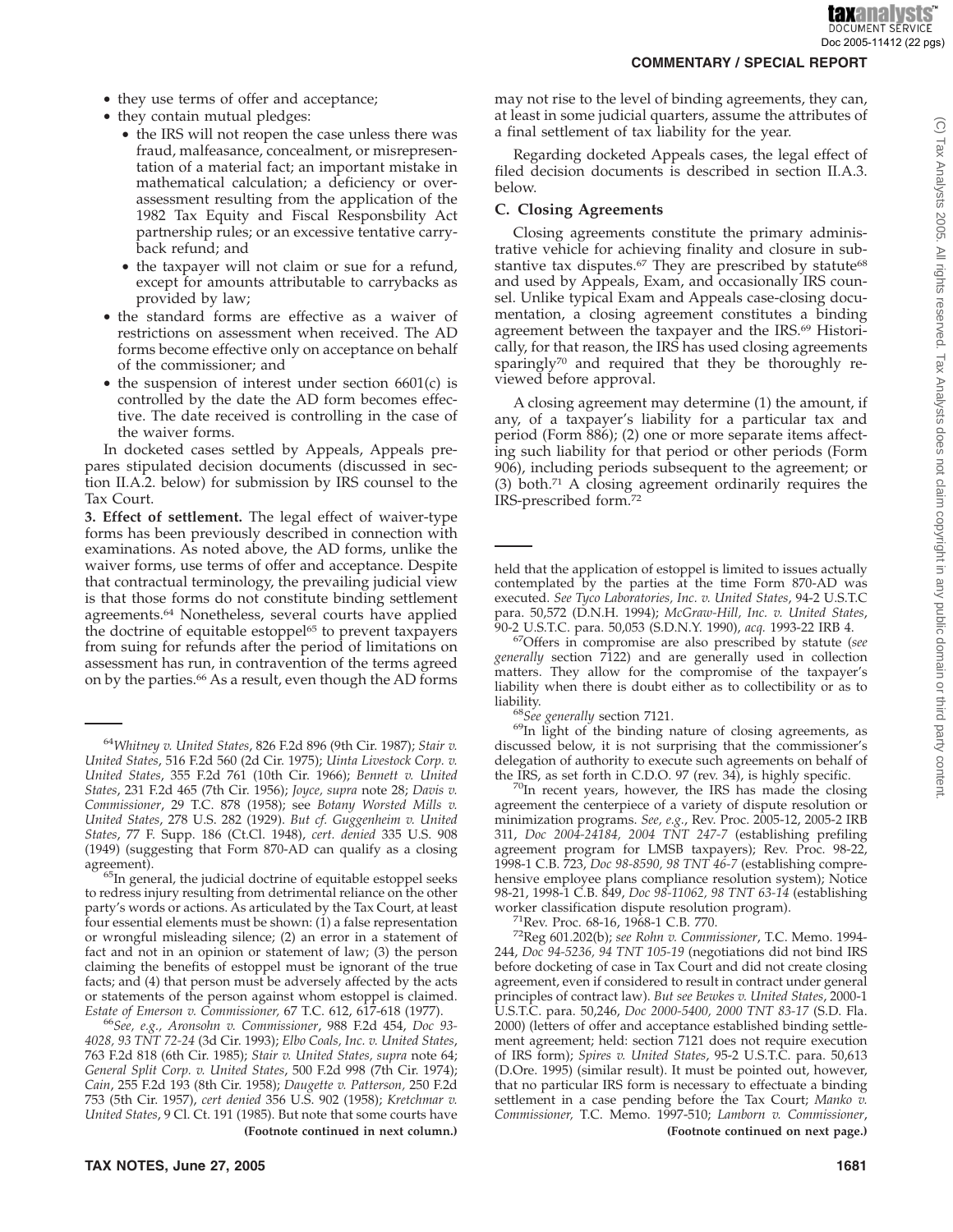- they use terms of offer and acceptance;
- they contain mutual pledges:
	- the IRS will not reopen the case unless there was fraud, malfeasance, concealment, or misrepresentation of a material fact; an important mistake in mathematical calculation; a deficiency or overassessment resulting from the application of the 1982 Tax Equity and Fiscal Responsbility Act partnership rules; or an excessive tentative carryback refund; and
	- the taxpayer will not claim or sue for a refund, except for amounts attributable to carrybacks as provided by law;
- the standard forms are effective as a waiver of restrictions on assessment when received. The AD forms become effective only on acceptance on behalf of the commissioner; and
- the suspension of interest under section 6601(c) is controlled by the date the AD form becomes effective. The date received is controlling in the case of the waiver forms.

In docketed cases settled by Appeals, Appeals prepares stipulated decision documents (discussed in section II.A.2. below) for submission by IRS counsel to the Tax Court.

**3. Effect of settlement.** The legal effect of waiver-type forms has been previously described in connection with examinations. As noted above, the AD forms, unlike the waiver forms, use terms of offer and acceptance. Despite that contractual terminology, the prevailing judicial view is that those forms do not constitute binding settlement agreements.64 Nonetheless, several courts have applied the doctrine of equitable estoppel<sup>65</sup> to prevent taxpayers from suing for refunds after the period of limitations on assessment has run, in contravention of the terms agreed on by the parties.<sup>66</sup> As a result, even though the AD forms

to redress injury resulting from detrimental reliance on the other party's words or actions. As articulated by the Tax Court, at least four essential elements must be shown:  $(i)$  a false representation or wrongful misleading silence; (2) an error in a statement of fact and not in an opinion or statement of law; (3) the person claiming the benefits of estoppel must be ignorant of the true facts; and (4) that person must be adversely affected by the acts or statements of the person against whom estoppel is claimed.<br>Estate of Emerson v. Commissioner, 67 T.C. 612, 617-618 (1977).

*Estate of Emerson v. Commissioner,* 67 T.C. 612, 617-618 (1977). <sup>66</sup>*See, e.g., Aronsohn v. Commissioner*, 988 F.2d 454, *Doc 93- 4028, 93 TNT 72-24* (3d Cir. 1993); *Elbo Coals, Inc. v. United States*, 763 F.2d 818 (6th Cir. 1985); *Stair v. United States, supra* note 64; *General Split Corp. v. United States*, 500 F.2d 998 (7th Cir. 1974); *Cain*, 255 F.2d 193 (8th Cir. 1958); *Daugette v. Patterson,* 250 F.2d 753 (5th Cir. 1957), *cert denied* 356 U.S. 902 (1958); *Kretchmar v. United States*, 9 Cl. Ct. 191 (1985). But note that some courts have

may not rise to the level of binding agreements, they can, at least in some judicial quarters, assume the attributes of a final settlement of tax liability for the year.

Regarding docketed Appeals cases, the legal effect of filed decision documents is described in section II.A.3. below.

#### **C. Closing Agreements**

Closing agreements constitute the primary administrative vehicle for achieving finality and closure in substantive tax disputes.<sup>67</sup> They are prescribed by statute<sup>68</sup> and used by Appeals, Exam, and occasionally IRS counsel. Unlike typical Exam and Appeals case-closing documentation, a closing agreement constitutes a binding agreement between the taxpayer and the IRS.<sup>69</sup> Historically, for that reason, the IRS has used closing agreements sparingly<sup>70</sup> and required that they be thoroughly reviewed before approval.

A closing agreement may determine (1) the amount, if any, of a taxpayer's liability for a particular tax and period (Form 886); (2) one or more separate items affecting such liability for that period or other periods (Form 906), including periods subsequent to the agreement; or (3) both.71 A closing agreement ordinarily requires the IRS-prescribed form.72

<sup>68</sup>See generally section 7121.<br><sup>69</sup>In light of the binding nature of closing agreements, as discussed below, it is not surprising that the commissioner's delegation of authority to execute such agreements on behalf of the IRS, as set forth in C.D.O. 97 (rev. 34), is highly specific.

 $70$ In recent years, however, the IRS has made the closing agreement the centerpiece of a variety of dispute resolution or minimization programs. *See, e.g.*, Rev. Proc. 2005-12, 2005-2 IRB 311, *Doc 2004-24184, 2004 TNT 247-7* (establishing prefiling agreement program for LMSB taxpayers); Rev. Proc. 98-22, 1998-1 C.B. 723, *Doc 98-8590, 98 TNT 46-7* (establishing comprehensive employee plans compliance resolution system); Notice 98-21, 1998-1 C.B. 849, *Doc 98-11062, 98 TNT 63-14* (establishing

<sup>71</sup> Rev. Proc. 68-16, 1968-1 C.B. 770.<br><sup>72</sup> Reg 601.202(b); *see Rohn v. Commissioner*, T.C. Memo. 1994-244, *Doc 94-5236, 94 TNT 105-19* (negotiations did not bind IRS before docketing of case in Tax Court and did not create closing agreement, even if considered to result in contract under general principles of contract law). *But see Bewkes v. United States*, 2000-1 U.S.T.C. para. 50,246, *Doc 2000-5400, 2000 TNT 83-17* (S.D. Fla. 2000) (letters of offer and acceptance established binding settlement agreement; held: section 7121 does not require execution of IRS form); *Spires v. United States*, 95-2 U.S.T.C. para. 50,613 (D.Ore. 1995) (similar result). It must be pointed out, however, that no particular IRS form is necessary to effectuate a binding settlement in a case pending before the Tax Court; *Manko v. Commissioner,* T.C. Memo. 1997-510; *Lamborn v. Commissioner*, **(Footnote continued in next column.) (Footnote continued on next page.)**

<sup>64</sup>*Whitney v. United States*, 826 F.2d 896 (9th Cir. 1987); *Stair v. United States*, 516 F.2d 560 (2d Cir. 1975); *Uinta Livestock Corp. v. United States*, 355 F.2d 761 (10th Cir. 1966); *Bennett v. United States*, 231 F.2d 465 (7th Cir. 1956); *Joyce, supra* note 28; *Davis v. Commissioner*, 29 T.C. 878 (1958); see *Botany Worsted Mills v. United States*, 278 U.S. 282 (1929). *But cf. Guggenheim v. United States*, 77 F. Supp. 186 (Ct.Cl. 1948), *cert. denied* 335 U.S. 908 (1949) (suggesting that Form 870-AD can qualify as a closing agreement).<br><sup>65</sup>In general, the judicial doctrine of equitable estoppel seeks

held that the application of estoppel is limited to issues actually contemplated by the parties at the time Form 870-AD was executed. *See Tyco Laboratories, Inc. v. United States*, 94-2 U.S.T.C para. 50,572 (D.N.H. 1994); *McGraw-Hill, Inc. v. United States*,

<sup>&</sup>lt;sup>67</sup> Offers in compromise are also prescribed by statute (see *generally* section 7122) and are generally used in collection matters. They allow for the compromise of the taxpayer's liability when there is doubt either as to collectibility or as to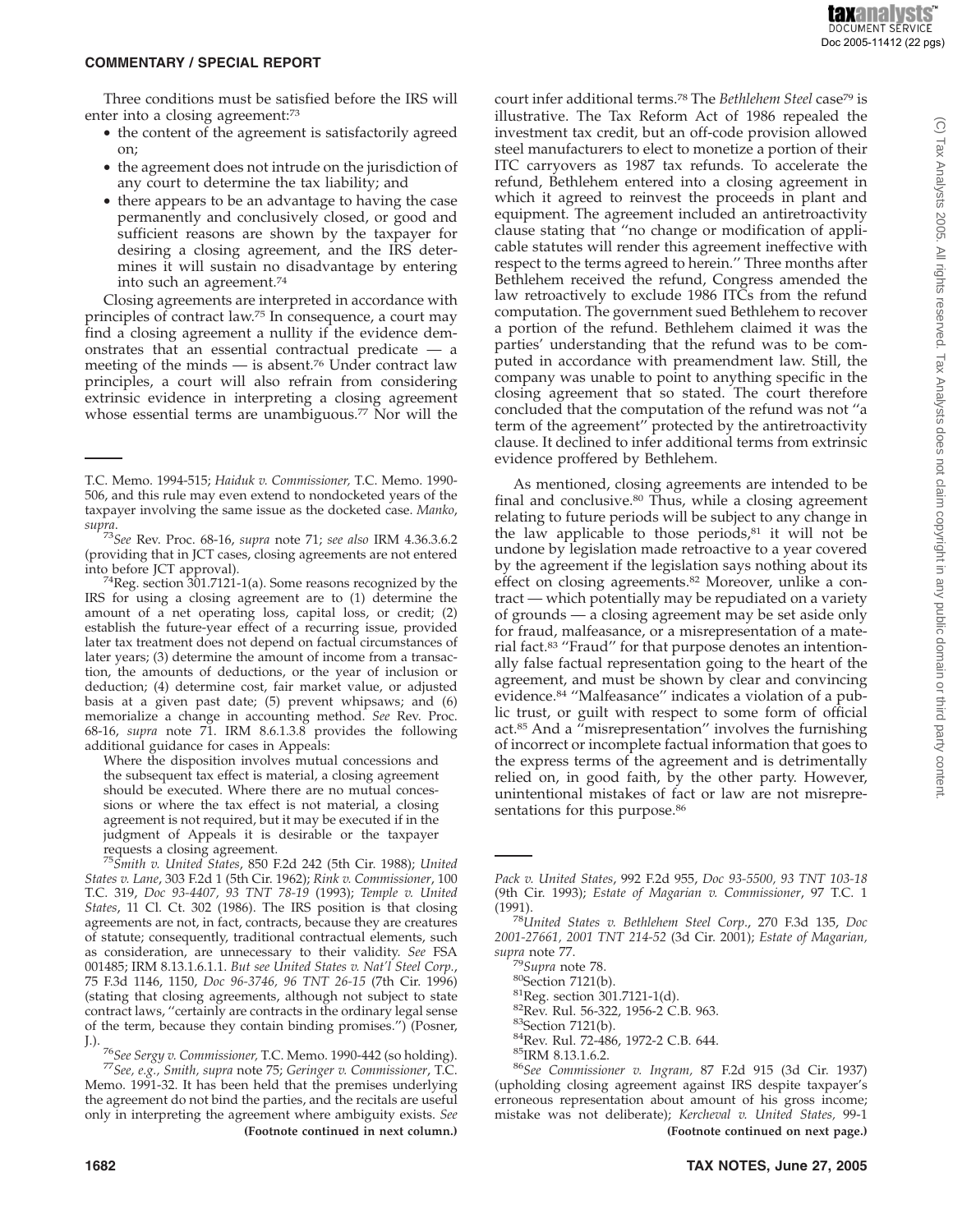(C) Tax Analysts 2005. All rights reserved. Tax Analysts does not claim copyright in any public domain or third party content

#### **COMMENTARY / SPECIAL REPORT**

Three conditions must be satisfied before the IRS will enter into a closing agreement:<sup>73</sup>

- the content of the agreement is satisfactorily agreed on;
- the agreement does not intrude on the jurisdiction of any court to determine the tax liability; and
- there appears to be an advantage to having the case permanently and conclusively closed, or good and sufficient reasons are shown by the taxpayer for desiring a closing agreement, and the IRS determines it will sustain no disadvantage by entering into such an agreement.74

Closing agreements are interpreted in accordance with principles of contract law.75 In consequence, a court may find a closing agreement a nullity if the evidence demonstrates that an essential contractual predicate — a meeting of the minds  $-$  is absent.<sup>76</sup> Under contract law principles, a court will also refrain from considering extrinsic evidence in interpreting a closing agreement whose essential terms are unambiguous.77 Nor will the

into before JCT approval). 74Reg. section 301.7121-1(a). Some reasons recognized by the IRS for using a closing agreement are to (1) determine the amount of a net operating loss, capital loss, or credit; (2) establish the future-year effect of a recurring issue, provided later tax treatment does not depend on factual circumstances of later years; (3) determine the amount of income from a transaction, the amounts of deductions, or the year of inclusion or deduction; (4) determine cost, fair market value, or adjusted basis at a given past date; (5) prevent whipsaws; and (6) memorialize a change in accounting method. *See* Rev. Proc. 68-16, *supra* note 71. IRM 8.6.1.3.8 provides the following additional guidance for cases in Appeals:

Where the disposition involves mutual concessions and the subsequent tax effect is material, a closing agreement should be executed. Where there are no mutual concessions or where the tax effect is not material, a closing agreement is not required, but it may be executed if in the judgment of Appeals it is desirable or the taxpayer requests a closing agreement.

Memo. 1991-32. It has been held that the premises underlying the agreement do not bind the parties, and the recitals are useful only in interpreting the agreement where ambiguity exists. *See* court infer additional terms.78 The *Bethlehem Steel* case79 is illustrative. The Tax Reform Act of 1986 repealed the investment tax credit, but an off-code provision allowed steel manufacturers to elect to monetize a portion of their ITC carryovers as 1987 tax refunds. To accelerate the refund, Bethlehem entered into a closing agreement in which it agreed to reinvest the proceeds in plant and equipment. The agreement included an antiretroactivity clause stating that ''no change or modification of applicable statutes will render this agreement ineffective with respect to the terms agreed to herein.'' Three months after Bethlehem received the refund, Congress amended the law retroactively to exclude 1986 ITCs from the refund computation. The government sued Bethlehem to recover a portion of the refund. Bethlehem claimed it was the parties' understanding that the refund was to be computed in accordance with preamendment law. Still, the company was unable to point to anything specific in the closing agreement that so stated. The court therefore concluded that the computation of the refund was not ''a term of the agreement'' protected by the antiretroactivity clause. It declined to infer additional terms from extrinsic evidence proffered by Bethlehem.

As mentioned, closing agreements are intended to be final and conclusive.80 Thus, while a closing agreement relating to future periods will be subject to any change in the law applicable to those periods, $81$  it will not be undone by legislation made retroactive to a year covered by the agreement if the legislation says nothing about its effect on closing agreements.<sup>82</sup> Moreover, unlike a contract — which potentially may be repudiated on a variety of grounds — a closing agreement may be set aside only for fraud, malfeasance, or a misrepresentation of a material fact.83 ''Fraud'' for that purpose denotes an intentionally false factual representation going to the heart of the agreement, and must be shown by clear and convincing evidence.84 ''Malfeasance'' indicates a violation of a public trust, or guilt with respect to some form of official act.85 And a ''misrepresentation'' involves the furnishing of incorrect or incomplete factual information that goes to the express terms of the agreement and is detrimentally relied on, in good faith, by the other party. However, unintentional mistakes of fact or law are not misrepresentations for this purpose.<sup>86</sup>

<sup>79</sup>Supra note 78.<br><sup>80</sup>Section 7121(b).<br><sup>81</sup>Reg. section 301.7121-1(d).<br><sup>82</sup>Rev. Rul. 56-322, 1956-2 C.B. 963.<br><sup>83</sup>Section 7121(b).<br><sup>84</sup>Rev. Rul. 72-486, 1972-2 C.B. 644.<br><sup>85</sup>IRM 8.13.1.6.2.<br><sup>86</sup>See Commissioner v. Ingram, (upholding closing agreement against IRS despite taxpayer's erroneous representation about amount of his gross income; mistake was not deliberate); *Kercheval v. United States,* 99-1 **(Footnote continued in next column.) (Footnote continued on next page.)**

T.C. Memo. 1994-515; *Haiduk v. Commissioner,* T.C. Memo. 1990- 506, and this rule may even extend to nondocketed years of the taxpayer involving the same issue as the docketed case. *Manko*,

*supra*. <sup>73</sup>*See* Rev. Proc. 68-16, *supra* note 71; *see also* IRM 4.36.3.6.2 (providing that in JCT cases, closing agreements are not entered

<sup>75</sup>*Smith v. United States*, 850 F.2d 242 (5th Cir. 1988); *United States v. Lane*, 303 F.2d 1 (5th Cir. 1962); *Rink v. Commissioner*, 100 T.C. 319, *Doc 93-4407, 93 TNT 78-19* (1993); *Temple v. United States*, 11 Cl. Ct. 302 (1986). The IRS position is that closing agreements are not, in fact, contracts, because they are creatures of statute; consequently, traditional contractual elements, such as consideration, are unnecessary to their validity. *See* FSA 001485; IRM 8.13.1.6.1.1. *But see United States v. Nat'l Steel Corp.*, 75 F.3d 1146, 1150, *Doc 96-3746, 96 TNT 26-15* (7th Cir. 1996) (stating that closing agreements, although not subject to state contract laws, ''certainly are contracts in the ordinary legal sense of the term, because they contain binding promises.'') (Posner,

J.). <sup>76</sup>*See Sergy v. Commissioner,* T.C. Memo. 1990-442 (so holding). <sup>77</sup>*See, e.g., Smith, supra* note 75; *Geringer v. Commissioner*, T.C.

*Pack v. United States*, 992 F.2d 955, *Doc 93-5500, 93 TNT 103-18* (9th Cir. 1993); *Estate of Magarian v. Commissioner*, 97 T.C. 1

<sup>&</sup>lt;sup>78</sup>United States v. Bethlehem Steel Corp., 270 F.3d 135, Doc *2001-27661, 2001 TNT 214-52* (3d Cir. 2001); *Estate of Magarian,*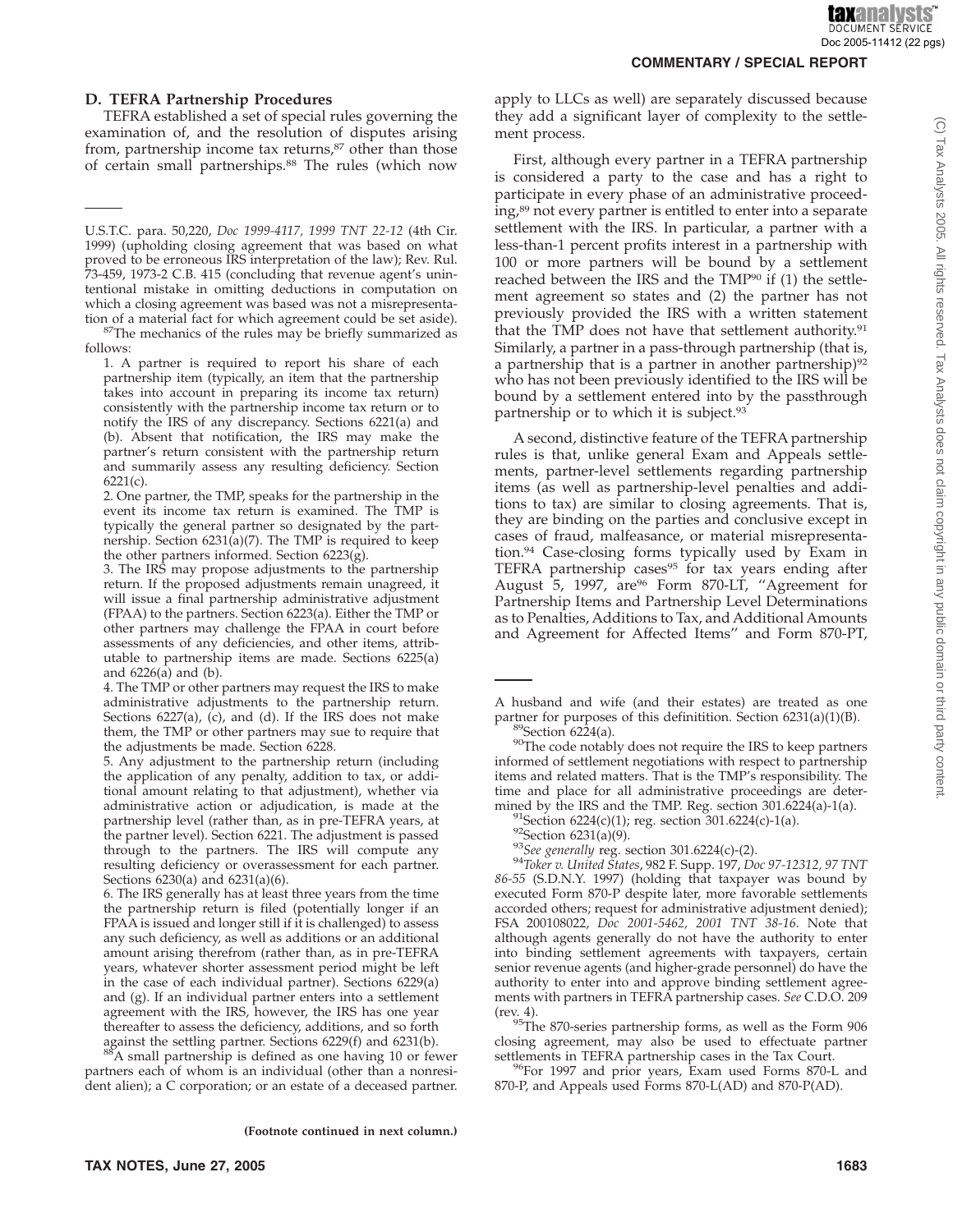#### **D. TEFRA Partnership Procedures**

TEFRA established a set of special rules governing the examination of, and the resolution of disputes arising from, partnership income tax returns, $87$  other than those of certain small partnerships.88 The rules (which now

tion of a material fact for which agreement could be set aside). <sup>87</sup>The mechanics of the rules may be briefly summarized as follows:

88A small partnership is defined as one having 10 or fewer partners each of whom is an individual (other than a nonresident alien); a C corporation; or an estate of a deceased partner. apply to LLCs as well) are separately discussed because they add a significant layer of complexity to the settlement process.

First, although every partner in a TEFRA partnership is considered a party to the case and has a right to participate in every phase of an administrative proceeding,<sup>89</sup> not every partner is entitled to enter into a separate settlement with the IRS. In particular, a partner with a less-than-1 percent profits interest in a partnership with 100 or more partners will be bound by a settlement reached between the IRS and the TMP90 if (1) the settlement agreement so states and (2) the partner has not previously provided the IRS with a written statement that the TMP does not have that settlement authority.<sup>91</sup> Similarly, a partner in a pass-through partnership (that is, a partnership that is a partner in another partnership $)$ <sup>92</sup> who has not been previously identified to the IRS will be bound by a settlement entered into by the passthrough partnership or to which it is subject.93

A second, distinctive feature of the TEFRA partnership rules is that, unlike general Exam and Appeals settlements, partner-level settlements regarding partnership items (as well as partnership-level penalties and additions to tax) are similar to closing agreements. That is, they are binding on the parties and conclusive except in cases of fraud, malfeasance, or material misrepresentation.94 Case-closing forms typically used by Exam in TEFRA partnership cases<sup>95</sup> for tax years ending after August 5, 1997, are<sup>96</sup> Form 870-LT, "Agreement for Partnership Items and Partnership Level Determinations as to Penalties, Additions to Tax, and Additional Amounts and Agreement for Affected Items'' and Form 870-PT,

<sup>91</sup>Section 6224(c)(1); reg. section 301.6224(c)-1(a).<br><sup>92</sup>Section 6231(a)(9).<br><sup>93</sup>See generally reg. section 301.6224(c)-(2).<br><sup>94</sup>Toker v. United States, 982 F. Supp. 197, *Doc 97-12312, 97 TNT 86-55* (S.D.N.Y. 1997) (holding that taxpayer was bound by executed Form 870-P despite later, more favorable settlements accorded others; request for administrative adjustment denied); FSA 200108022, *Doc 2001-5462, 2001 TNT 38-16*. Note that although agents generally do not have the authority to enter into binding settlement agreements with taxpayers, certain senior revenue agents (and higher-grade personnel) do have the authority to enter into and approve binding settlement agreements with partners in TEFRA partnership cases. *See* C.D.O. 209

(rev. 4). 95The 870-series partnership forms, as well as the Form 906 closing agreement, may also be used to effectuate partner settlements in TEFRA partnership cases in the Tax Court.

<sup>96</sup>For 1997 and prior years, Exam used Forms 870-L and 870-P, and Appeals used Forms 870-L(AD) and 870-P(AD).

U.S.T.C. para. 50,220, *Doc 1999-4117, 1999 TNT 22-12* (4th Cir. 1999) (upholding closing agreement that was based on what proved to be erroneous IRS interpretation of the law); Rev. Rul. 73-459, 1973-2 C.B. 415 (concluding that revenue agent's unintentional mistake in omitting deductions in computation on which a closing agreement was based was not a misrepresenta-

<sup>1.</sup> A partner is required to report his share of each partnership item (typically, an item that the partnership takes into account in preparing its income tax return) consistently with the partnership income tax return or to notify the IRS of any discrepancy. Sections 6221(a) and (b). Absent that notification, the IRS may make the partner's return consistent with the partnership return and summarily assess any resulting deficiency. Section  $6221(c)$ .

<sup>2.</sup> One partner, the TMP, speaks for the partnership in the event its income tax return is examined. The TMP is typically the general partner so designated by the partnership. Section 6231(a)(7). The TMP is required to keep the other partners informed. Section  $6223(\hat{g})$ .

<sup>3.</sup> The IRS may propose adjustments to the partnership return. If the proposed adjustments remain unagreed, it will issue a final partnership administrative adjustment (FPAA) to the partners. Section 6223(a). Either the TMP or other partners may challenge the FPAA in court before assessments of any deficiencies, and other items, attributable to partnership items are made. Sections 6225(a) and 6226(a) and (b).

<sup>4.</sup> The TMP or other partners may request the IRS to make administrative adjustments to the partnership return. Sections 6227(a), (c), and (d). If the IRS does not make them, the TMP or other partners may sue to require that the adjustments be made. Section 6228.

<sup>5.</sup> Any adjustment to the partnership return (including the application of any penalty, addition to tax, or additional amount relating to that adjustment), whether via administrative action or adjudication, is made at the partnership level (rather than, as in pre-TEFRA years, at the partner level). Section 6221. The adjustment is passed through to the partners. The IRS will compute any resulting deficiency or overassessment for each partner. Sections 6230(a) and 6231(a)(6).

<sup>6.</sup> The IRS generally has at least three years from the time the partnership return is filed (potentially longer if an FPAA is issued and longer still if it is challenged) to assess any such deficiency, as well as additions or an additional amount arising therefrom (rather than, as in pre-TEFRA years, whatever shorter assessment period might be left in the case of each individual partner). Sections 6229(a) and (g). If an individual partner enters into a settlement agreement with the IRS, however, the IRS has one year thereafter to assess the deficiency, additions, and so forth against the settling partner. Sections 6229(f) and 6231(b).

A husband and wife (and their estates) are treated as one partner for purposes of this definitition. Section 6231(a)(1)(B).<br><sup>89</sup>Section 6224(a).<br><sup>90</sup>The code notably does not require the IRS to keep partners

informed of settlement negotiations with respect to partnership items and related matters. That is the TMP's responsibility. The time and place for all administrative proceedings are deter-<br>mined by the IRS and the TMP. Reg. section 301.6224(a)-1(a).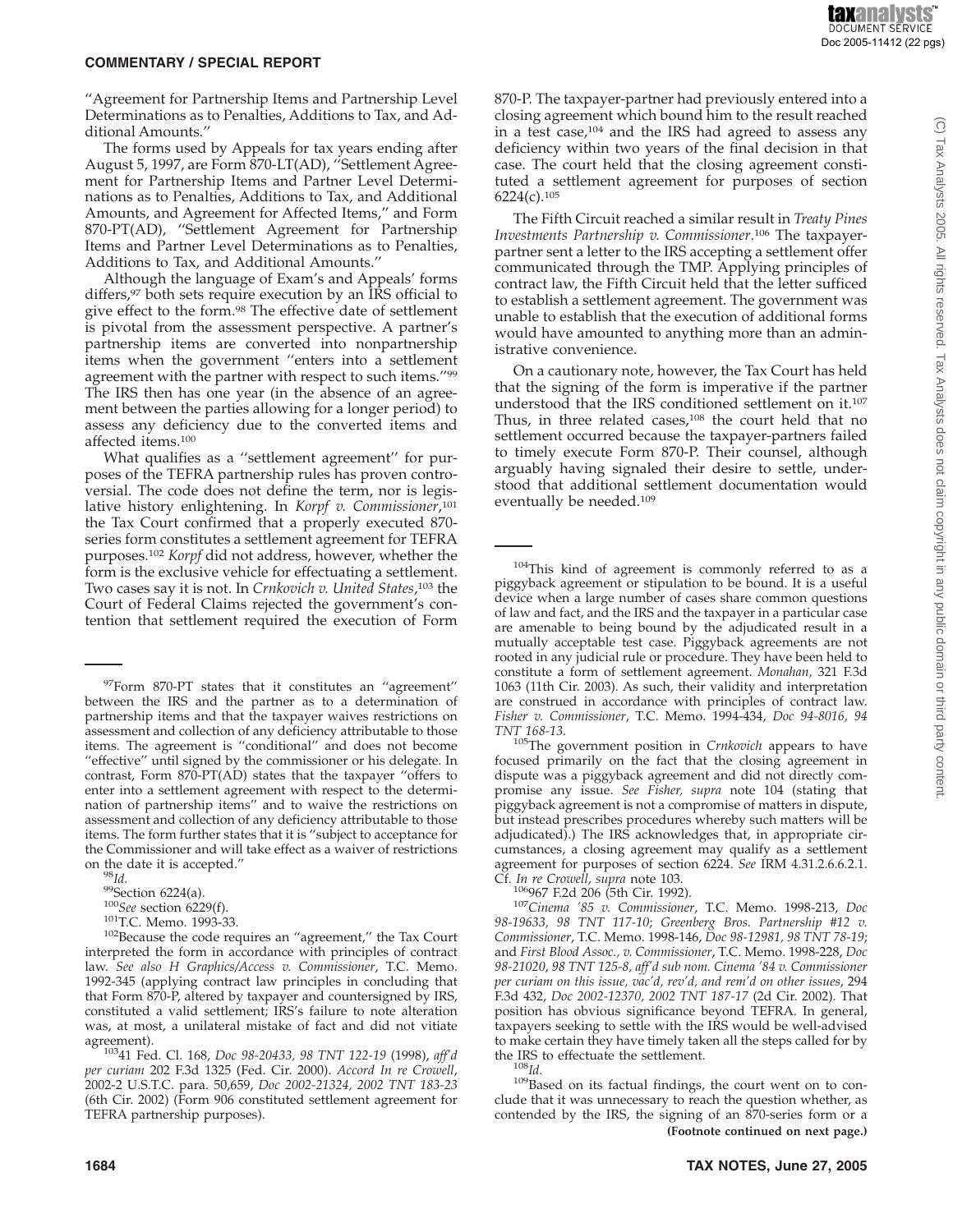''Agreement for Partnership Items and Partnership Level Determinations as to Penalties, Additions to Tax, and Additional Amounts.''

The forms used by Appeals for tax years ending after August 5, 1997, are Form 870-LT(AD), ''Settlement Agreement for Partnership Items and Partner Level Determinations as to Penalties, Additions to Tax, and Additional Amounts, and Agreement for Affected Items,'' and Form 870-PT(AD), ''Settlement Agreement for Partnership Items and Partner Level Determinations as to Penalties, Additions to Tax, and Additional Amounts.''

Although the language of Exam's and Appeals' forms differs,<sup>97</sup> both sets require execution by an IRS official to give effect to the form.<sup>98</sup> The effective date of settlement is pivotal from the assessment perspective. A partner's partnership items are converted into nonpartnership items when the government ''enters into a settlement agreement with the partner with respect to such items."<sup>99</sup> The IRS then has one year (in the absence of an agreement between the parties allowing for a longer period) to assess any deficiency due to the converted items and affected items.100

What qualifies as a ''settlement agreement'' for purposes of the TEFRA partnership rules has proven controversial. The code does not define the term, nor is legislative history enlightening. In *Korpf v. Commissioner*, 101 the Tax Court confirmed that a properly executed 870 series form constitutes a settlement agreement for TEFRA purposes.102 *Korpf* did not address, however, whether the form is the exclusive vehicle for effectuating a settlement. Two cases say it is not. In *Crnkovich v. United States*, <sup>103</sup> the Court of Federal Claims rejected the government's contention that settlement required the execution of Form

97Form 870-PT states that it constitutes an ''agreement'' between the IRS and the partner as to a determination of partnership items and that the taxpayer waives restrictions on assessment and collection of any deficiency attributable to those items. The agreement is ''conditional'' and does not become "effective" until signed by the commissioner or his delegate. In contrast, Form 870-PT(AD) states that the taxpayer ''offers to enter into a settlement agreement with respect to the determination of partnership items'' and to waive the restrictions on assessment and collection of any deficiency attributable to those items. The form further states that it is ''subject to acceptance for the Commissioner and will take effect as a waiver of restrictions

on the date it is accepted.''<br><sup>98</sup>*Id.* <sup>99</sup>Section 6224(a).<br><sup>100</sup>*See* section 6229(f).<br><sup>101</sup>T.C. Memo. 1993-33. <sup>102</sup>Because the code requires an "agreement," the Tax Court interpreted the form in accordance with principles of contract law. *See also H Graphics/Access v. Commissioner*, T.C. Memo. 1992-345 (applying contract law principles in concluding that that Form 870-P, altered by taxpayer and countersigned by IRS, constituted a valid settlement; IRS's failure to note alteration was, at most, a unilateral mistake of fact and did not vitiate agreement). 10341 Fed. Cl. 168, *Doc 98-20433, 98 TNT 122-19* (1998), *aff'd*

*per curiam* 202 F.3d 1325 (Fed. Cir. 2000). *Accord In re Crowell*, 2002-2 U.S.T.C. para. 50,659, *Doc 2002-21324, 2002 TNT 183-23* (6th Cir. 2002) (Form 906 constituted settlement agreement for TEFRA partnership purposes).

870-P. The taxpayer-partner had previously entered into a closing agreement which bound him to the result reached in a test case,<sup>104</sup> and the IRS had agreed to assess any deficiency within two years of the final decision in that case. The court held that the closing agreement constituted a settlement agreement for purposes of section 6224(c).105

The Fifth Circuit reached a similar result in *Treaty Pines Investments Partnership v. Commissioner*. <sup>106</sup> The taxpayerpartner sent a letter to the IRS accepting a settlement offer communicated through the TMP. Applying principles of contract law, the Fifth Circuit held that the letter sufficed to establish a settlement agreement. The government was unable to establish that the execution of additional forms would have amounted to anything more than an administrative convenience.

On a cautionary note, however, the Tax Court has held that the signing of the form is imperative if the partner understood that the IRS conditioned settlement on it.107 Thus, in three related cases, $108$  the court held that no settlement occurred because the taxpayer-partners failed to timely execute Form 870-P. Their counsel, although arguably having signaled their desire to settle, understood that additional settlement documentation would eventually be needed.109

<sup>104</sup>This kind of agreement is commonly referred to as a piggyback agreement or stipulation to be bound. It is a useful device when a large number of cases share common questions of law and fact, and the IRS and the taxpayer in a particular case are amenable to being bound by the adjudicated result in a mutually acceptable test case. Piggyback agreements are not rooted in any judicial rule or procedure. They have been held to constitute a form of settlement agreement. *Monahan,* 321 F.3d 1063 (11th Cir. 2003). As such, their validity and interpretation are construed in accordance with principles of contract law. *Fisher v. Commissioner*, T.C. Memo. 1994-434, *Doc 94-8016, 94*

*TNT 168-13*. 105The government position in *Crnkovich* appears to have focused primarily on the fact that the closing agreement in dispute was a piggyback agreement and did not directly compromise any issue. *See Fisher, supra* note 104 (stating that piggyback agreement is not a compromise of matters in dispute, but instead prescribes procedures whereby such matters will be adjudicated).) The IRS acknowledges that, in appropriate circumstances, a closing agreement may qualify as a settlement agreement for purposes of section 6224. *See* IRM 4.31.2.6.6.2.1.

Cf. *In re Crowell, supra* note 103. 106967 F.2d 206 (5th Cir. 1992). <sup>107</sup>*Cinema '85 v. Commissioner*, T.C. Memo. 1998-213, *Doc 98-19633, 98 TNT 117-10*; *Greenberg Bros. Partnership #12 v. Commissioner*, T.C. Memo. 1998-146, *Doc 98-12981, 98 TNT 78-19*; and *First Blood Assoc., v. Commissioner*, T.C. Memo. 1998-228, *Doc 98-21020, 98 TNT 125-8, aff'd sub nom. Cinema '84 v. Commissioner per curiam on this issue, vac'd, rev'd, and rem'd on other issues*, 294 F.3d 432, *Doc 2002-12370, 2002 TNT 187-17* (2d Cir. 2002). That position has obvious significance beyond TEFRA. In general, taxpayers seeking to settle with the IRS would be well-advised to make certain they have timely taken all the steps called for by

<sup>108</sup>*Id.* <sup>108</sup>*Id.* 109Based on its factual findings, the court went on to conclude that it was unnecessary to reach the question whether, as contended by the IRS, the signing of an 870-series form or a **(Footnote continued on next page.)**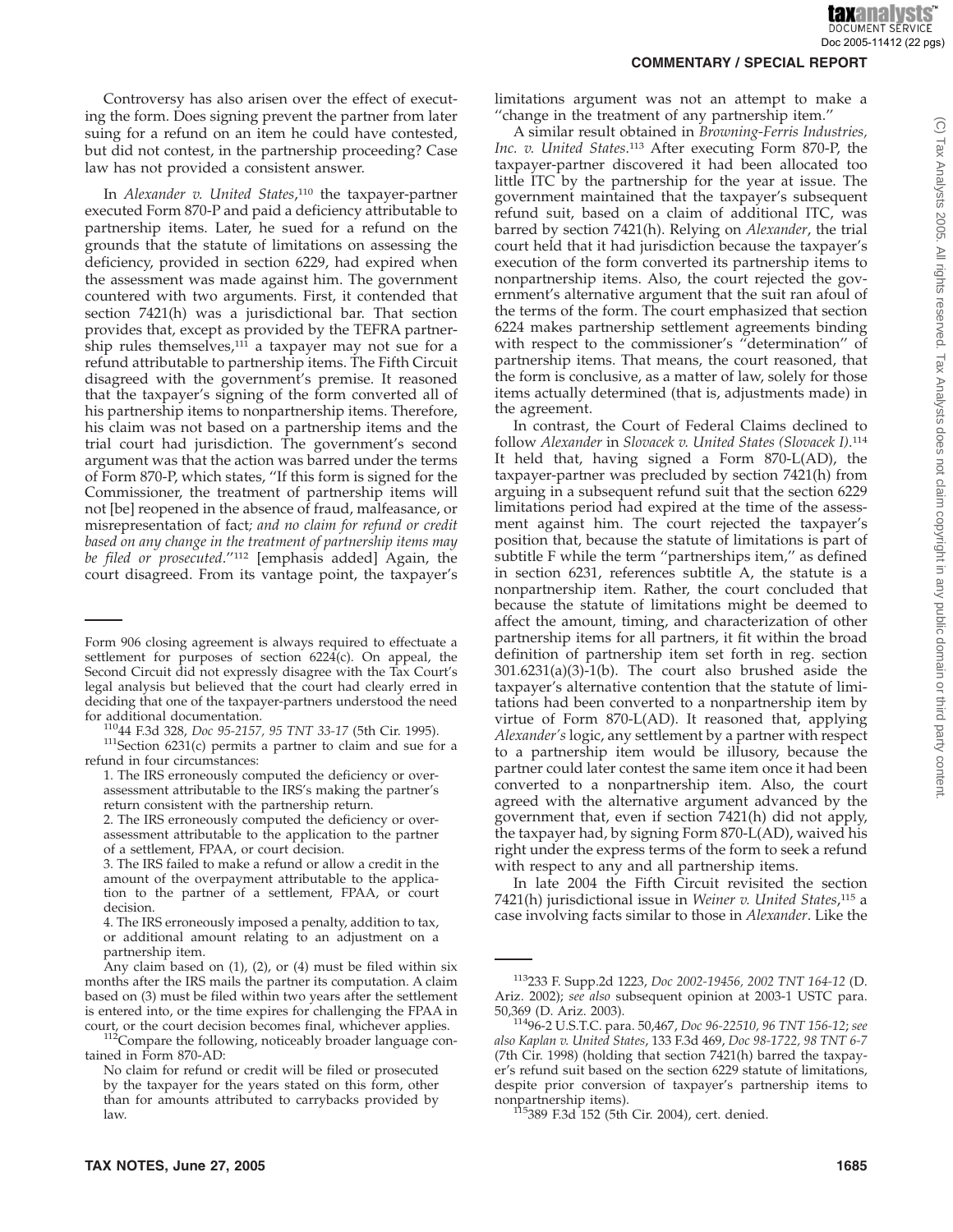Tax Analysts 2005. All rights reserved. Tax Analysts does not claim copyright in any public domain or third party content

 $\odot$ 

Controversy has also arisen over the effect of executing the form. Does signing prevent the partner from later suing for a refund on an item he could have contested, but did not contest, in the partnership proceeding? Case law has not provided a consistent answer.

In *Alexander v. United States*, <sup>110</sup> the taxpayer-partner executed Form 870-P and paid a deficiency attributable to partnership items. Later, he sued for a refund on the grounds that the statute of limitations on assessing the deficiency, provided in section 6229, had expired when the assessment was made against him. The government countered with two arguments. First, it contended that section 7421(h) was a jurisdictional bar. That section provides that, except as provided by the TEFRA partnership rules themselves, $111$  a taxpayer may not sue for a refund attributable to partnership items. The Fifth Circuit disagreed with the government's premise. It reasoned that the taxpayer's signing of the form converted all of his partnership items to nonpartnership items. Therefore, his claim was not based on a partnership items and the trial court had jurisdiction. The government's second argument was that the action was barred under the terms of Form 870-P, which states, ''If this form is signed for the Commissioner, the treatment of partnership items will not [be] reopened in the absence of fraud, malfeasance, or misrepresentation of fact*; and no claim for refund or credit based on any change in the treatment of partnership items may be filed or prosecuted*.''112 [emphasis added] Again, the court disagreed. From its vantage point, the taxpayer's

#### **COMMENTARY / SPECIAL REPORT**

limitations argument was not an attempt to make a ''change in the treatment of any partnership item.''

A similar result obtained in *Browning-Ferris Industries, Inc. v. United States*. <sup>113</sup> After executing Form 870-P, the taxpayer-partner discovered it had been allocated too little ITC by the partnership for the year at issue. The government maintained that the taxpayer's subsequent refund suit, based on a claim of additional ITC, was barred by section 7421(h). Relying on *Alexander*, the trial court held that it had jurisdiction because the taxpayer's execution of the form converted its partnership items to nonpartnership items. Also, the court rejected the government's alternative argument that the suit ran afoul of the terms of the form. The court emphasized that section 6224 makes partnership settlement agreements binding with respect to the commissioner's ''determination'' of partnership items. That means, the court reasoned, that the form is conclusive, as a matter of law, solely for those items actually determined (that is, adjustments made) in the agreement.

In contrast, the Court of Federal Claims declined to follow *Alexander* in *Slovacek v. United States (Slovacek I)*. 114 It held that, having signed a Form 870-L(AD), the taxpayer-partner was precluded by section 7421(h) from arguing in a subsequent refund suit that the section 6229 limitations period had expired at the time of the assessment against him. The court rejected the taxpayer's position that, because the statute of limitations is part of subtitle F while the term "partnerships item," as defined in section 6231, references subtitle A, the statute is a nonpartnership item. Rather, the court concluded that because the statute of limitations might be deemed to affect the amount, timing, and characterization of other partnership items for all partners, it fit within the broad definition of partnership item set forth in reg. section 301.6231(a)(3)-1(b). The court also brushed aside the taxpayer's alternative contention that the statute of limitations had been converted to a nonpartnership item by virtue of Form 870-L(AD). It reasoned that, applying *Alexander's* logic, any settlement by a partner with respect to a partnership item would be illusory, because the partner could later contest the same item once it had been converted to a nonpartnership item. Also, the court agreed with the alternative argument advanced by the government that, even if section 7421(h) did not apply, the taxpayer had, by signing Form 870-L(AD), waived his right under the express terms of the form to seek a refund with respect to any and all partnership items.

In late 2004 the Fifth Circuit revisited the section 7421(h) jurisdictional issue in *Weiner v. United States*, <sup>115</sup> a case involving facts similar to those in *Alexander*. Like the

Form 906 closing agreement is always required to effectuate a settlement for purposes of section  $6224(c)$ . On appeal, the Second Circuit did not expressly disagree with the Tax Court's legal analysis but believed that the court had clearly erred in deciding that one of the taxpayer-partners understood the need<br>for additional documentation.

<sup>&</sup>lt;sup>110</sup>44 F.3d 328, *Doc 95-2157, 95 TNT 33-17* (5th Cir. 1995). <sup>111</sup>Section 6231(c) permits a partner to claim and sue for a refund in four circumstances:

<sup>1.</sup> The IRS erroneously computed the deficiency or overassessment attributable to the IRS's making the partner's return consistent with the partnership return.

<sup>2.</sup> The IRS erroneously computed the deficiency or overassessment attributable to the application to the partner of a settlement, FPAA, or court decision.

<sup>3.</sup> The IRS failed to make a refund or allow a credit in the amount of the overpayment attributable to the application to the partner of a settlement, FPAA, or court decision.

<sup>4.</sup> The IRS erroneously imposed a penalty, addition to tax, or additional amount relating to an adjustment on a partnership item.

Any claim based on (1), (2), or (4) must be filed within six months after the IRS mails the partner its computation. A claim based on (3) must be filed within two years after the settlement is entered into, or the time expires for challenging the FPAA in court, or the court decision becomes final, whichever applies.

 $112$ Compare the following, noticeably broader language contained in Form 870-AD:

No claim for refund or credit will be filed or prosecuted by the taxpayer for the years stated on this form, other than for amounts attributed to carrybacks provided by law.

<sup>113233</sup> F. Supp.2d 1223, *Doc 2002-19456, 2002 TNT 164-12* (D. Ariz. 2002); *see also* subsequent opinion at 2003-1 USTC para.

<sup>50,369 (</sup>D. Ariz. 2003). 11496-2 U.S.T.C. para. 50,467, *Doc 96-22510, 96 TNT 156-12*; *see also Kaplan v. United States*, 133 F.3d 469, *Doc 98-1722, 98 TNT 6-7* (7th Cir. 1998) (holding that section 7421(h) barred the taxpayer's refund suit based on the section 6229 statute of limitations, despite prior conversion of taxpayer's partnership items to nonpartnership items).<br><sup>115</sup>389 F.3d 152 (5th Cir. 2004), cert. denied.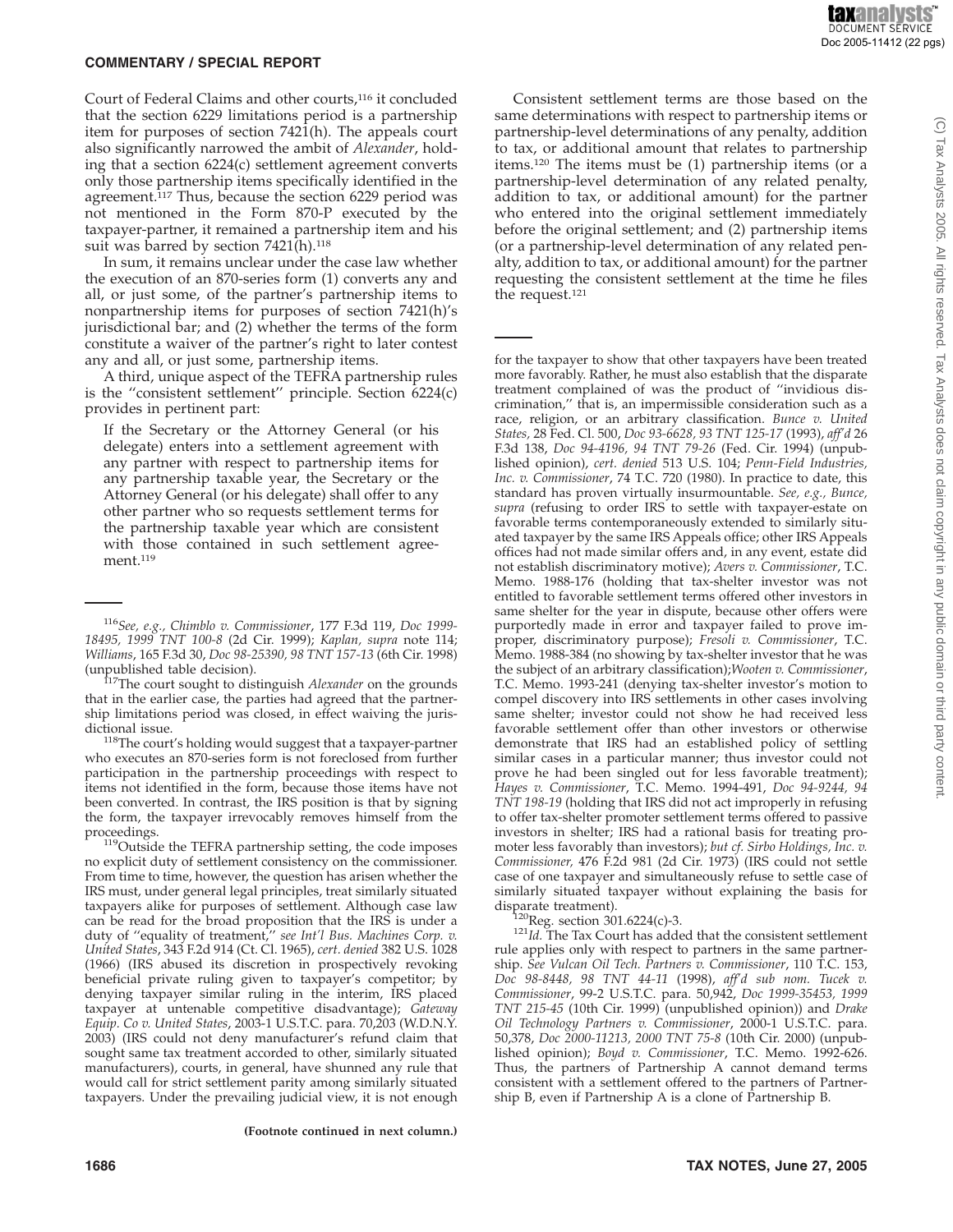Court of Federal Claims and other courts,116 it concluded that the section 6229 limitations period is a partnership item for purposes of section  $742\hat{1}$ (h). The appeals court also significantly narrowed the ambit of *Alexander*, holding that a section 6224(c) settlement agreement converts only those partnership items specifically identified in the agreement.<sup>117</sup> Thus, because the section 6229 period was not mentioned in the Form 870-P executed by the taxpayer-partner, it remained a partnership item and his suit was barred by section  $7421(h).$ <sup>118</sup>

In sum, it remains unclear under the case law whether the execution of an 870-series form (1) converts any and all, or just some, of the partner's partnership items to nonpartnership items for purposes of section 7421(h)'s jurisdictional bar; and (2) whether the terms of the form constitute a waiver of the partner's right to later contest any and all, or just some, partnership items.

A third, unique aspect of the TEFRA partnership rules is the ''consistent settlement'' principle. Section 6224(c) provides in pertinent part:

If the Secretary or the Attorney General (or his delegate) enters into a settlement agreement with any partner with respect to partnership items for any partnership taxable year, the Secretary or the Attorney General (or his delegate) shall offer to any other partner who so requests settlement terms for the partnership taxable year which are consistent with those contained in such settlement agreement.<sup>119</sup>

 $119$ Outside the TEFRA partnership setting, the code imposes no explicit duty of settlement consistency on the commissioner. From time to time, however, the question has arisen whether the IRS must, under general legal principles, treat similarly situated taxpayers alike for purposes of settlement. Although case law can be read for the broad proposition that the IRS is under a duty of ''equality of treatment,'' *see Int'l Bus. Machines Corp. v. United States*, 343 F.2d 914 (Ct. Cl. 1965), *cert. denied* 382 U.S. 1028 (1966) (IRS abused its discretion in prospectively revoking beneficial private ruling given to taxpayer's competitor; by denying taxpayer similar ruling in the interim, IRS placed taxpayer at untenable competitive disadvantage); *Gateway Equip. Co v. United States*, 2003-1 U.S.T.C. para. 70,203 (W.D.N.Y. 2003) (IRS could not deny manufacturer's refund claim that sought same tax treatment accorded to other, similarly situated manufacturers), courts, in general, have shunned any rule that would call for strict settlement parity among similarly situated taxpayers. Under the prevailing judicial view, it is not enough

**(Footnote continued in next column.)**

Consistent settlement terms are those based on the same determinations with respect to partnership items or partnership-level determinations of any penalty, addition to tax, or additional amount that relates to partnership items.120 The items must be (1) partnership items (or a partnership-level determination of any related penalty, addition to tax, or additional amount) for the partner who entered into the original settlement immediately before the original settlement; and (2) partnership items (or a partnership-level determination of any related penalty, addition to tax, or additional amount) for the partner requesting the consistent settlement at the time he files the request.121

for the taxpayer to show that other taxpayers have been treated more favorably. Rather, he must also establish that the disparate treatment complained of was the product of ''invidious discrimination,'' that is, an impermissible consideration such as a race, religion, or an arbitrary classification. *Bunce v. United States,* 28 Fed. Cl. 500, *Doc 93-6628, 93 TNT 125-17* (1993), *aff'd* 26 F.3d 138, *Doc 94-4196, 94 TNT 79-26* (Fed. Cir. 1994) (unpublished opinion), *cert. denied* 513 U.S. 104; *Penn-Field Industries, Inc. v. Commissioner*, 74 T.C. 720 (1980). In practice to date, this standard has proven virtually insurmountable. *See, e.g., Bunce, supra* (refusing to order IRS to settle with taxpayer-estate on favorable terms contemporaneously extended to similarly situated taxpayer by the same IRS Appeals office; other IRS Appeals offices had not made similar offers and, in any event, estate did not establish discriminatory motive); *Avers v. Commissioner*, T.C. Memo. 1988-176 (holding that tax-shelter investor was not entitled to favorable settlement terms offered other investors in same shelter for the year in dispute, because other offers were purportedly made in error and taxpayer failed to prove improper, discriminatory purpose); *Fresoli v. Commissioner*, T.C. Memo. 1988-384 (no showing by tax-shelter investor that he was the subject of an arbitrary classification);*Wooten v. Commissioner*, T.C. Memo. 1993-241 (denying tax-shelter investor's motion to compel discovery into IRS settlements in other cases involving same shelter; investor could not show he had received less favorable settlement offer than other investors or otherwise demonstrate that IRS had an established policy of settling similar cases in a particular manner; thus investor could not prove he had been singled out for less favorable treatment); *Hayes v. Commissioner*, T.C. Memo. 1994-491, *Doc 94-9244, 94 TNT 198-19* (holding that IRS did not act improperly in refusing to offer tax-shelter promoter settlement terms offered to passive investors in shelter; IRS had a rational basis for treating promoter less favorably than investors); *but cf. Sirbo Holdings, Inc. v. Commissioner,* 476 F.2d 981 (2d Cir. 1973) (IRS could not settle case of one taxpayer and simultaneously refuse to settle case of similarly situated taxpayer without explaining the basis for

<sup>120</sup>Reg. section 301.6224(c)-3.  $121/121/1d$ . The Tax Court has added that the consistent settlement rule applies only with respect to partners in the same partnership. *See Vulcan Oil Tech. Partners v. Commissioner*, 110 T.C. 153, *Doc 98-8448, 98 TNT 44-11* (1998), *aff'd sub nom. Tucek v. Commissioner*, 99-2 U.S.T.C. para. 50,942, *Doc 1999-35453, 1999 TNT 215-45* (10th Cir. 1999) (unpublished opinion)) and *Drake Oil Technology Partners v. Commissioner*, 2000-1 U.S.T.C. para. 50,378, *Doc 2000-11213, 2000 TNT 75-8* (10th Cir. 2000) (unpublished opinion); *Boyd v. Commissioner*, T.C. Memo. 1992-626. Thus, the partners of Partnership A cannot demand terms consistent with a settlement offered to the partners of Partnership B, even if Partnership A is a clone of Partnership B.

<sup>116</sup>*See, e.g., Chimblo v. Commissioner*, 177 F.3d 119, *Doc 1999- 18495, 1999 TNT 100-8* (2d Cir. 1999); *Kaplan, supra* note 114; *Williams*, 165 F.3d 30, *Doc 98-25390, 98 TNT 157-13* (6th Cir. 1998)

<sup>(</sup>unpublished table decision). 117The court sought to distinguish *Alexander* on the grounds that in the earlier case, the parties had agreed that the partnership limitations period was closed, in effect waiving the juris-

dictional issue.<br><sup>118</sup>The court's holding would suggest that a taxpayer-partner who executes an 870-series form is not foreclosed from further participation in the partnership proceedings with respect to items not identified in the form, because those items have not been converted. In contrast, the IRS position is that by signing the form, the taxpayer irrevocably removes himself from the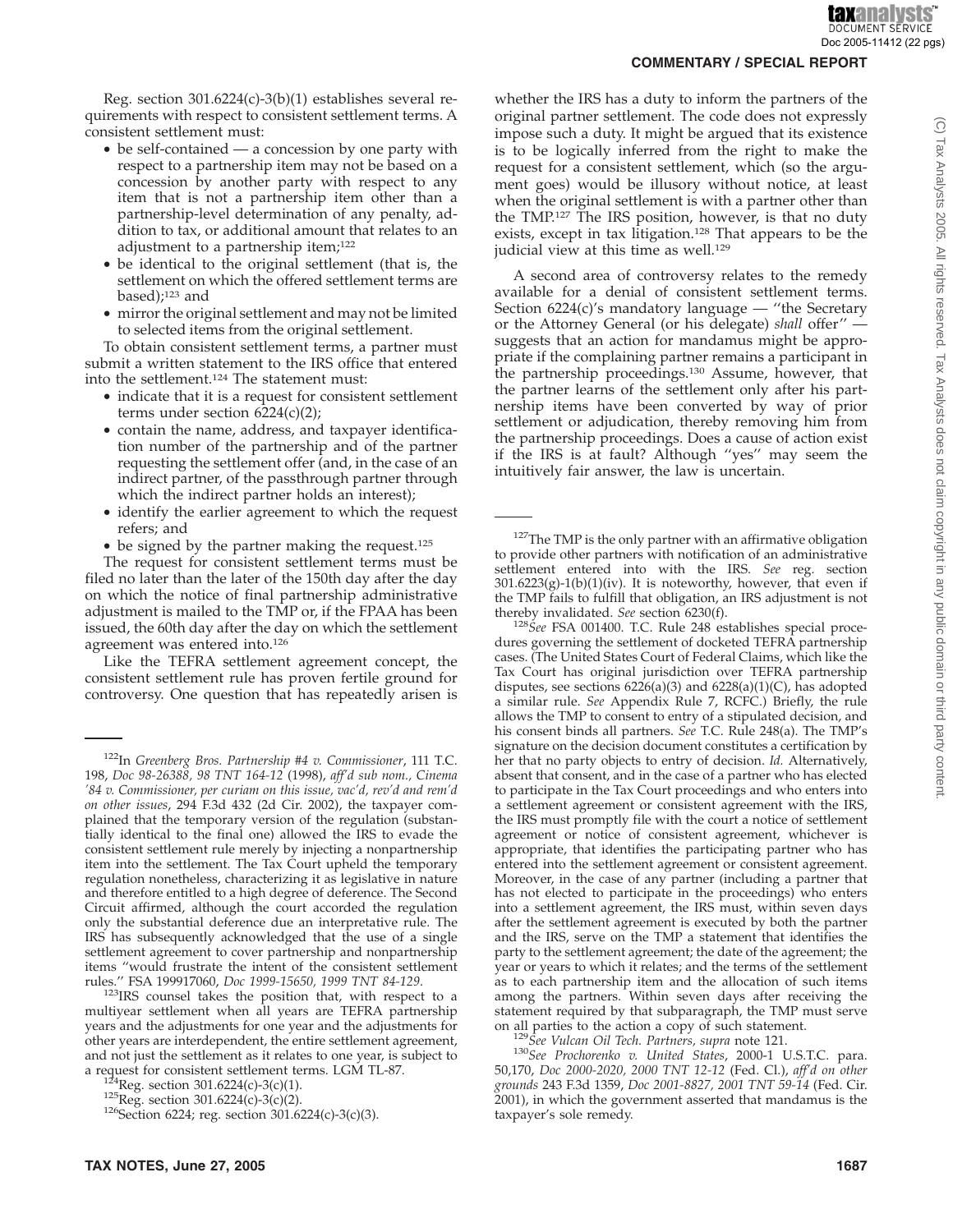Reg. section 301.6224(c)-3(b)(1) establishes several requirements with respect to consistent settlement terms. A consistent settlement must:

- be self-contained a concession by one party with respect to a partnership item may not be based on a concession by another party with respect to any item that is not a partnership item other than a partnership-level determination of any penalty, addition to tax, or additional amount that relates to an adjustment to a partnership item;122
- be identical to the original settlement (that is, the settlement on which the offered settlement terms are based);123 and
- mirror the original settlement and may not be limited to selected items from the original settlement.

To obtain consistent settlement terms, a partner must submit a written statement to the IRS office that entered into the settlement.124 The statement must:

- indicate that it is a request for consistent settlement terms under section 6224(c)(2);
- contain the name, address, and taxpayer identification number of the partnership and of the partner requesting the settlement offer (and, in the case of an indirect partner, of the passthrough partner through which the indirect partner holds an interest);
- identify the earlier agreement to which the request refers; and
- be signed by the partner making the request.<sup>125</sup>

The request for consistent settlement terms must be filed no later than the later of the 150th day after the day on which the notice of final partnership administrative adjustment is mailed to the TMP or, if the FPAA has been issued, the 60th day after the day on which the settlement agreement was entered into.126

Like the TEFRA settlement agreement concept, the consistent settlement rule has proven fertile ground for controversy. One question that has repeatedly arisen is

<sup>123</sup>IRS counsel takes the position that, with respect to a multiyear settlement when all years are TEFRA partnership years and the adjustments for one year and the adjustments for other years are interdependent, the entire settlement agreement, and not just the settlement as it relates to one year, is subject to a request for consistent settlement terms. LGM TL-87. whether the IRS has a duty to inform the partners of the original partner settlement. The code does not expressly impose such a duty. It might be argued that its existence is to be logically inferred from the right to make the request for a consistent settlement, which (so the argument goes) would be illusory without notice, at least when the original settlement is with a partner other than the TMP.127 The IRS position, however, is that no duty exists, except in tax litigation.<sup>128</sup> That appears to be the judicial view at this time as well.<sup>129</sup>

A second area of controversy relates to the remedy available for a denial of consistent settlement terms. Section  $6224(c)$ 's mandatory language — "the Secretary or the Attorney General (or his delegate) *shall* offer'' suggests that an action for mandamus might be appropriate if the complaining partner remains a participant in the partnership proceedings.130 Assume, however, that the partner learns of the settlement only after his partnership items have been converted by way of prior settlement or adjudication, thereby removing him from the partnership proceedings. Does a cause of action exist if the IRS is at fault? Although ''yes'' may seem the intuitively fair answer, the law is uncertain.

<sup>127</sup>The TMP is the only partner with an affirmative obligation to provide other partners with notification of an administrative settlement entered into with the IRS. *See* reg. section  $301.6223(g)-1(b)(1)(iv)$ . It is noteworthy, however, that even if the TMP fails to fulfill that obligation, an IRS adjustment is not thereby invalidated. See section 6230(f).

<sup>128</sup>See FSA 001400. T.C. Rule 248 establishes special procedures governing the settlement of docketed TEFRA partnership cases. (The United States Court of Federal Claims, which like the Tax Court has original jurisdiction over TEFRA partnership disputes, see sections  $6226(a)(3)$  and  $6228(a)(1)(C)$ , has adopted a similar rule. *See* Appendix Rule 7, RCFC.) Briefly, the rule allows the TMP to consent to entry of a stipulated decision, and his consent binds all partners. *See* T.C. Rule 248(a). The TMP's signature on the decision document constitutes a certification by her that no party objects to entry of decision. *Id.* Alternatively, absent that consent, and in the case of a partner who has elected to participate in the Tax Court proceedings and who enters into a settlement agreement or consistent agreement with the IRS, the IRS must promptly file with the court a notice of settlement agreement or notice of consistent agreement, whichever is appropriate, that identifies the participating partner who has entered into the settlement agreement or consistent agreement. Moreover, in the case of any partner (including a partner that has not elected to participate in the proceedings) who enters into a settlement agreement, the IRS must, within seven days after the settlement agreement is executed by both the partner and the IRS, serve on the TMP a statement that identifies the party to the settlement agreement; the date of the agreement; the year or years to which it relates; and the terms of the settlement as to each partnership item and the allocation of such items among the partners. Within seven days after receiving the statement required by that subparagraph, the TMP must serve on all parties to the action a copy of such statement.

<sup>129</sup>See Vulcan Oil Tech. Partners, supra note 121.<br><sup>130</sup>See Prochorenko v. United States, 2000-1 U.S.T.C. para. 50,170, *Doc 2000-2020, 2000 TNT 12-12* (Fed. Cl.), *aff'd on other grounds* 243 F.3d 1359, *Doc 2001-8827, 2001 TNT 59-14* (Fed. Cir. 2001), in which the government asserted that mandamus is the taxpayer's sole remedy.

<sup>122</sup>In *Greenberg Bros. Partnership #4 v. Commissioner*, 111 T.C. 198, *Doc 98-26388, 98 TNT 164-12* (1998), *aff'd sub nom., Cinema '84 v. Commissioner, per curiam on this issue, vac'd, rev'd and rem'd on other issues*, 294 F.3d 432 (2d Cir. 2002), the taxpayer complained that the temporary version of the regulation (substantially identical to the final one) allowed the IRS to evade the consistent settlement rule merely by injecting a nonpartnership item into the settlement. The Tax Court upheld the temporary regulation nonetheless, characterizing it as legislative in nature and therefore entitled to a high degree of deference. The Second Circuit affirmed, although the court accorded the regulation only the substantial deference due an interpretative rule. The IRS has subsequently acknowledged that the use of a single settlement agreement to cover partnership and nonpartnership items "would frustrate the intent of the consistent settlement rules." FSA 199917060, *Doc* 1999-15650, 1999 TNT 84-129.

<sup>&</sup>lt;sup>124</sup>Reg. section 301.6224(c)-3(c)(1).<br><sup>125</sup>Reg. section 301.6224(c)-3(c)(2). <sup>126</sup>Section 6224; reg. section 301.6224(c)-3(c)(3).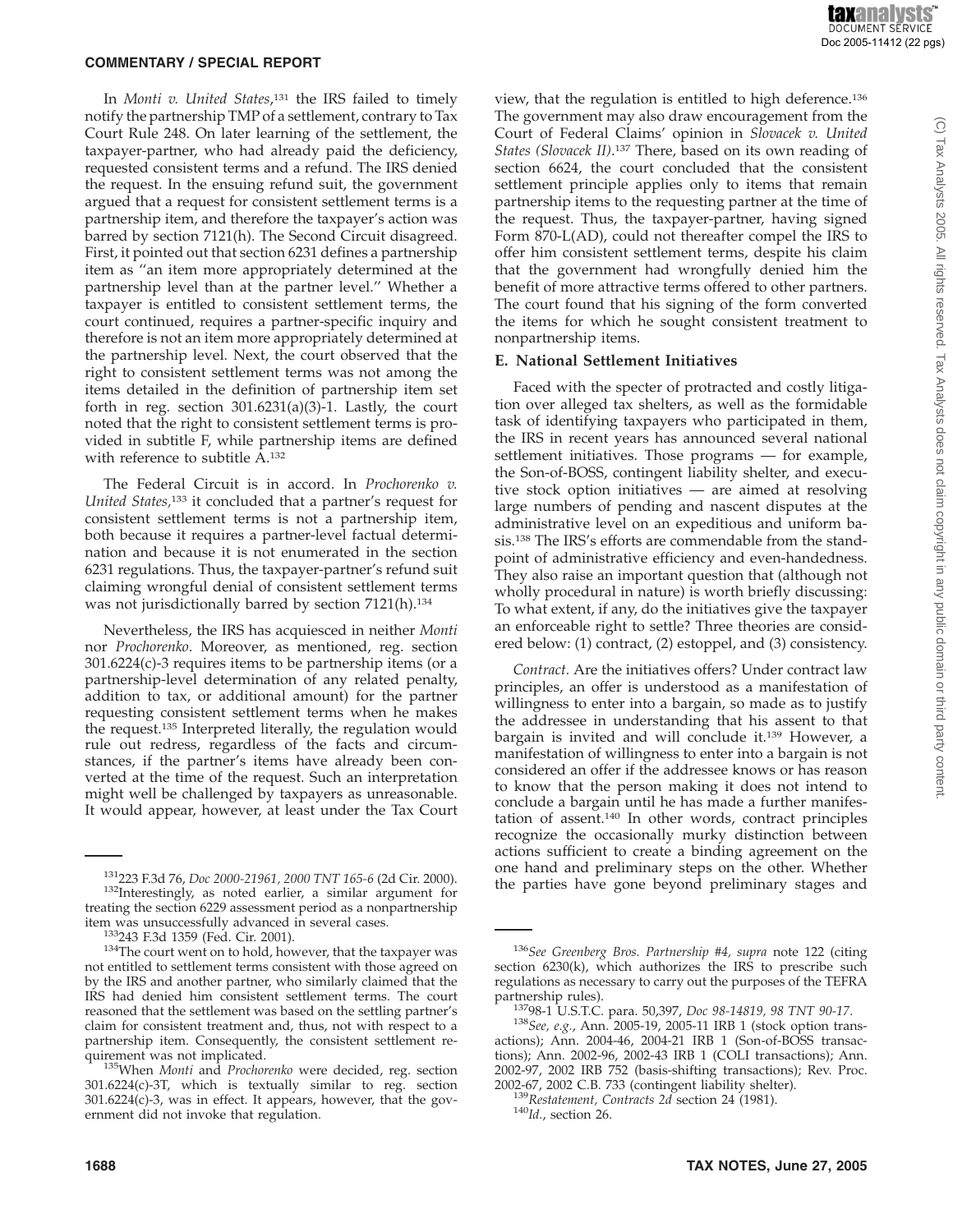In *Monti v. United States*, <sup>131</sup> the IRS failed to timely notify the partnership TMP of a settlement, contrary to Tax Court Rule 248. On later learning of the settlement, the taxpayer-partner, who had already paid the deficiency, requested consistent terms and a refund. The IRS denied the request. In the ensuing refund suit, the government argued that a request for consistent settlement terms is a partnership item, and therefore the taxpayer's action was barred by section 7121(h). The Second Circuit disagreed. First, it pointed out that section 6231 defines a partnership item as ''an item more appropriately determined at the partnership level than at the partner level.'' Whether a taxpayer is entitled to consistent settlement terms, the court continued, requires a partner-specific inquiry and therefore is not an item more appropriately determined at the partnership level. Next, the court observed that the right to consistent settlement terms was not among the items detailed in the definition of partnership item set forth in reg. section 301.6231(a)(3)-1. Lastly, the court noted that the right to consistent settlement terms is provided in subtitle F, while partnership items are defined with reference to subtitle A.132

The Federal Circuit is in accord. In *Prochorenko v. United States,*<sup>133</sup> it concluded that a partner's request for consistent settlement terms is not a partnership item, both because it requires a partner-level factual determination and because it is not enumerated in the section 6231 regulations. Thus, the taxpayer-partner's refund suit claiming wrongful denial of consistent settlement terms was not jurisdictionally barred by section 7121(h).134

Nevertheless, the IRS has acquiesced in neither *Monti* nor *Prochorenko*. Moreover, as mentioned, reg. section 301.6224(c)-3 requires items to be partnership items (or a partnership-level determination of any related penalty, addition to tax, or additional amount) for the partner requesting consistent settlement terms when he makes the request.<sup>135</sup> Interpreted literally, the regulation would rule out redress, regardless of the facts and circumstances, if the partner's items have already been converted at the time of the request. Such an interpretation might well be challenged by taxpayers as unreasonable. It would appear, however, at least under the Tax Court view, that the regulation is entitled to high deference.136 The government may also draw encouragement from the Court of Federal Claims' opinion in *Slovacek v. United States (Slovacek II)*. <sup>137</sup> There, based on its own reading of section 6624, the court concluded that the consistent settlement principle applies only to items that remain partnership items to the requesting partner at the time of the request. Thus, the taxpayer-partner, having signed Form 870-L(AD), could not thereafter compel the IRS to offer him consistent settlement terms, despite his claim that the government had wrongfully denied him the benefit of more attractive terms offered to other partners. The court found that his signing of the form converted the items for which he sought consistent treatment to nonpartnership items.

#### **E. National Settlement Initiatives**

Faced with the specter of protracted and costly litigation over alleged tax shelters, as well as the formidable task of identifying taxpayers who participated in them, the IRS in recent years has announced several national settlement initiatives. Those programs — for example, the Son-of-BOSS, contingent liability shelter, and executive stock option initiatives — are aimed at resolving large numbers of pending and nascent disputes at the administrative level on an expeditious and uniform basis.138 The IRS's efforts are commendable from the standpoint of administrative efficiency and even-handedness. They also raise an important question that (although not wholly procedural in nature) is worth briefly discussing: To what extent, if any, do the initiatives give the taxpayer an enforceable right to settle? Three theories are considered below: (1) contract, (2) estoppel, and (3) consistency.

*Contract.* Are the initiatives offers? Under contract law principles, an offer is understood as a manifestation of willingness to enter into a bargain, so made as to justify the addressee in understanding that his assent to that bargain is invited and will conclude it.139 However, a manifestation of willingness to enter into a bargain is not considered an offer if the addressee knows or has reason to know that the person making it does not intend to conclude a bargain until he has made a further manifestation of assent.140 In other words, contract principles recognize the occasionally murky distinction between actions sufficient to create a binding agreement on the one hand and preliminary steps on the other. Whether the parties have gone beyond preliminary stages and

<sup>&</sup>lt;sup>131</sup>223 F.3d 76, *Doc 2000-21961, 2000 TNT 165-6* (2d Cir. 2000). <sup>132</sup>Interestingly, as noted earlier, a similar argument for treating the section 6229 assessment period as a nonpartnership item was unsuccessfully advanced in several cases.

<sup>&</sup>lt;sup>133</sup>243 F.3d 1359 (Fed. Cir. 2001).  $134$ The court went on to hold, however, that the taxpayer was not entitled to settlement terms consistent with those agreed on by the IRS and another partner, who similarly claimed that the IRS had denied him consistent settlement terms. The court reasoned that the settlement was based on the settling partner's claim for consistent treatment and, thus, not with respect to a partnership item. Consequently, the consistent settlement re-

<sup>&</sup>lt;sup>135</sup>When *Monti* and *Prochorenko* were decided, reg. section 301.6224(c)-3T, which is textually similar to reg. section 301.6224(c)-3, was in effect. It appears, however, that the government did not invoke that regulation.

<sup>136</sup>*See Greenberg Bros. Partnership #4, supra* note 122 (citing section 6230(k), which authorizes the IRS to prescribe such regulations as necessary to carry out the purposes of the TEFRA

partnership rules). 13798-1 U.S.T.C. para. 50,397, *Doc 98-14819, 98 TNT 90-17*. <sup>138</sup>*See, e.g.*, Ann. 2005-19, 2005-11 IRB 1 (stock option transactions); Ann. 2004-46, 2004-21 IRB 1 (Son-of-BOSS transactions); Ann. 2002-96, 2002-43 IRB 1 (COLI transactions); Ann. 2002-97, 2002 IRB 752 (basis-shifting transactions); Rev. Proc. 2002-67, 2002 C.B. 733 (contingent liability shelter).

<sup>&</sup>lt;sup>139</sup>Restatement, Contracts 2d section 24 (1981). <sup>140</sup>*Id.*, section 26.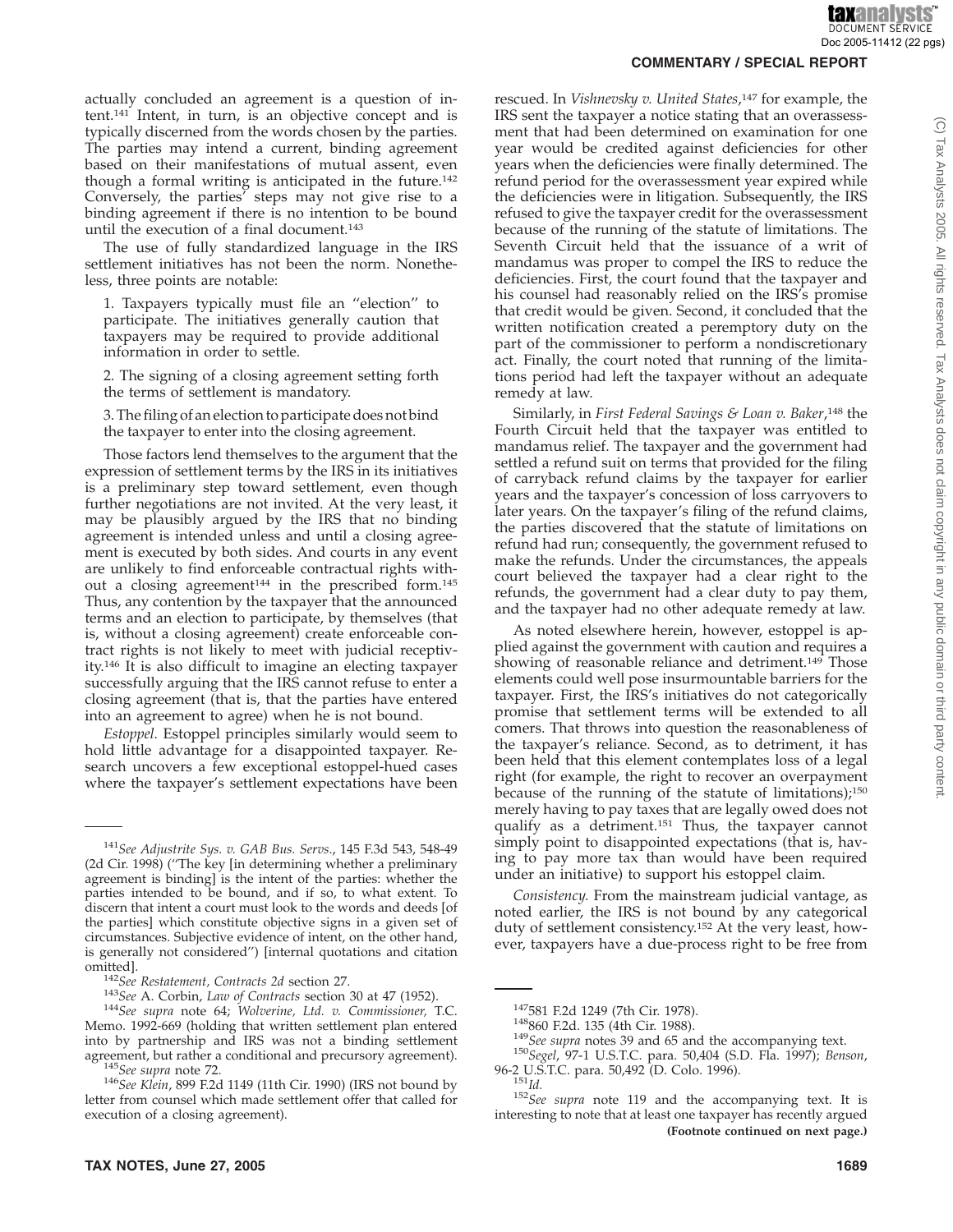actually concluded an agreement is a question of intent.141 Intent, in turn, is an objective concept and is typically discerned from the words chosen by the parties. The parties may intend a current, binding agreement based on their manifestations of mutual assent, even though a formal writing is anticipated in the future.142 Conversely, the parties' steps may not give rise to a binding agreement if there is no intention to be bound until the execution of a final document.143

The use of fully standardized language in the IRS settlement initiatives has not been the norm. Nonetheless, three points are notable:

1. Taxpayers typically must file an ''election'' to participate. The initiatives generally caution that taxpayers may be required to provide additional information in order to settle.

2. The signing of a closing agreement setting forth the terms of settlement is mandatory.

3. The filing of an election to participate does not bind the taxpayer to enter into the closing agreement.

Those factors lend themselves to the argument that the expression of settlement terms by the IRS in its initiatives is a preliminary step toward settlement, even though further negotiations are not invited. At the very least, it may be plausibly argued by the IRS that no binding agreement is intended unless and until a closing agreement is executed by both sides. And courts in any event are unlikely to find enforceable contractual rights without a closing agreement<sup>144</sup> in the prescribed form.<sup>145</sup> Thus, any contention by the taxpayer that the announced terms and an election to participate, by themselves (that is, without a closing agreement) create enforceable contract rights is not likely to meet with judicial receptivity.146 It is also difficult to imagine an electing taxpayer successfully arguing that the IRS cannot refuse to enter a closing agreement (that is, that the parties have entered into an agreement to agree) when he is not bound.

*Estoppel.* Estoppel principles similarly would seem to hold little advantage for a disappointed taxpayer. Research uncovers a few exceptional estoppel-hued cases where the taxpayer's settlement expectations have been

**COMMENTARY / SPECIAL REPORT**

rescued. In *Vishnevsky v. United States*, <sup>147</sup> for example, the IRS sent the taxpayer a notice stating that an overassessment that had been determined on examination for one year would be credited against deficiencies for other years when the deficiencies were finally determined. The refund period for the overassessment year expired while the deficiencies were in litigation. Subsequently, the IRS refused to give the taxpayer credit for the overassessment because of the running of the statute of limitations. The Seventh Circuit held that the issuance of a writ of mandamus was proper to compel the IRS to reduce the deficiencies. First, the court found that the taxpayer and his counsel had reasonably relied on the IRS's promise that credit would be given. Second, it concluded that the written notification created a peremptory duty on the part of the commissioner to perform a nondiscretionary act. Finally, the court noted that running of the limitations period had left the taxpayer without an adequate remedy at law.

Similarly, in *First Federal Savings & Loan v. Baker*, <sup>148</sup> the Fourth Circuit held that the taxpayer was entitled to mandamus relief. The taxpayer and the government had settled a refund suit on terms that provided for the filing of carryback refund claims by the taxpayer for earlier years and the taxpayer's concession of loss carryovers to later years. On the taxpayer's filing of the refund claims, the parties discovered that the statute of limitations on refund had run; consequently, the government refused to make the refunds. Under the circumstances, the appeals court believed the taxpayer had a clear right to the refunds, the government had a clear duty to pay them, and the taxpayer had no other adequate remedy at law.

As noted elsewhere herein, however, estoppel is applied against the government with caution and requires a showing of reasonable reliance and detriment.<sup>149</sup> Those elements could well pose insurmountable barriers for the taxpayer. First, the IRS's initiatives do not categorically promise that settlement terms will be extended to all comers. That throws into question the reasonableness of the taxpayer's reliance. Second, as to detriment, it has been held that this element contemplates loss of a legal right (for example, the right to recover an overpayment because of the running of the statute of limitations);150 merely having to pay taxes that are legally owed does not qualify as a detriment.151 Thus, the taxpayer cannot simply point to disappointed expectations (that is, having to pay more tax than would have been required under an initiative) to support his estoppel claim.

*Consistency.* From the mainstream judicial vantage, as noted earlier, the IRS is not bound by any categorical duty of settlement consistency.152 At the very least, however, taxpayers have a due-process right to be free from

<sup>141</sup>*See Adjustrite Sys. v. GAB Bus. Servs*., 145 F.3d 543, 548-49 (2d Cir. 1998) (''The key [in determining whether a preliminary agreement is binding] is the intent of the parties: whether the parties intended to be bound, and if so, to what extent. To discern that intent a court must look to the words and deeds [of the parties] which constitute objective signs in a given set of circumstances. Subjective evidence of intent, on the other hand, is generally not considered'') [internal quotations and citation

omitted]. <sup>142</sup>*See Restatement, Contracts 2d* section 27. <sup>143</sup>*See* A. Corbin, *Law of Contracts* section 30 at 47 (1952). <sup>144</sup>*See supra* note 64; *Wolverine, Ltd. v. Commissioner,* T.C. Memo. 1992-669 (holding that written settlement plan entered into by partnership and IRS was not a binding settlement

<sup>&</sup>lt;sup>145</sup>See supra note 72.<br><sup>146</sup>See Klein, 899 F.2d 1149 (11th Cir. 1990) (IRS not bound by letter from counsel which made settlement offer that called for execution of a closing agreement).

<sup>147581</sup> F.2d 1249 (7th Cir. 1978). 148860 F.2d. 135 (4th Cir. 1988). <sup>149</sup>*See supra* notes 39 and 65 and the accompanying text. <sup>150</sup>*Segel*, 97-1 U.S.T.C. para. 50,404 (S.D. Fla. 1997); *Benson*,

<sup>96-2</sup> U.S.T.C. para. 50,492 (D. Colo. 1996). <sup>151</sup>*Id.* <sup>152</sup>*See supra* note 119 and the accompanying text. It is interesting to note that at least one taxpayer has recently argued **(Footnote continued on next page.)**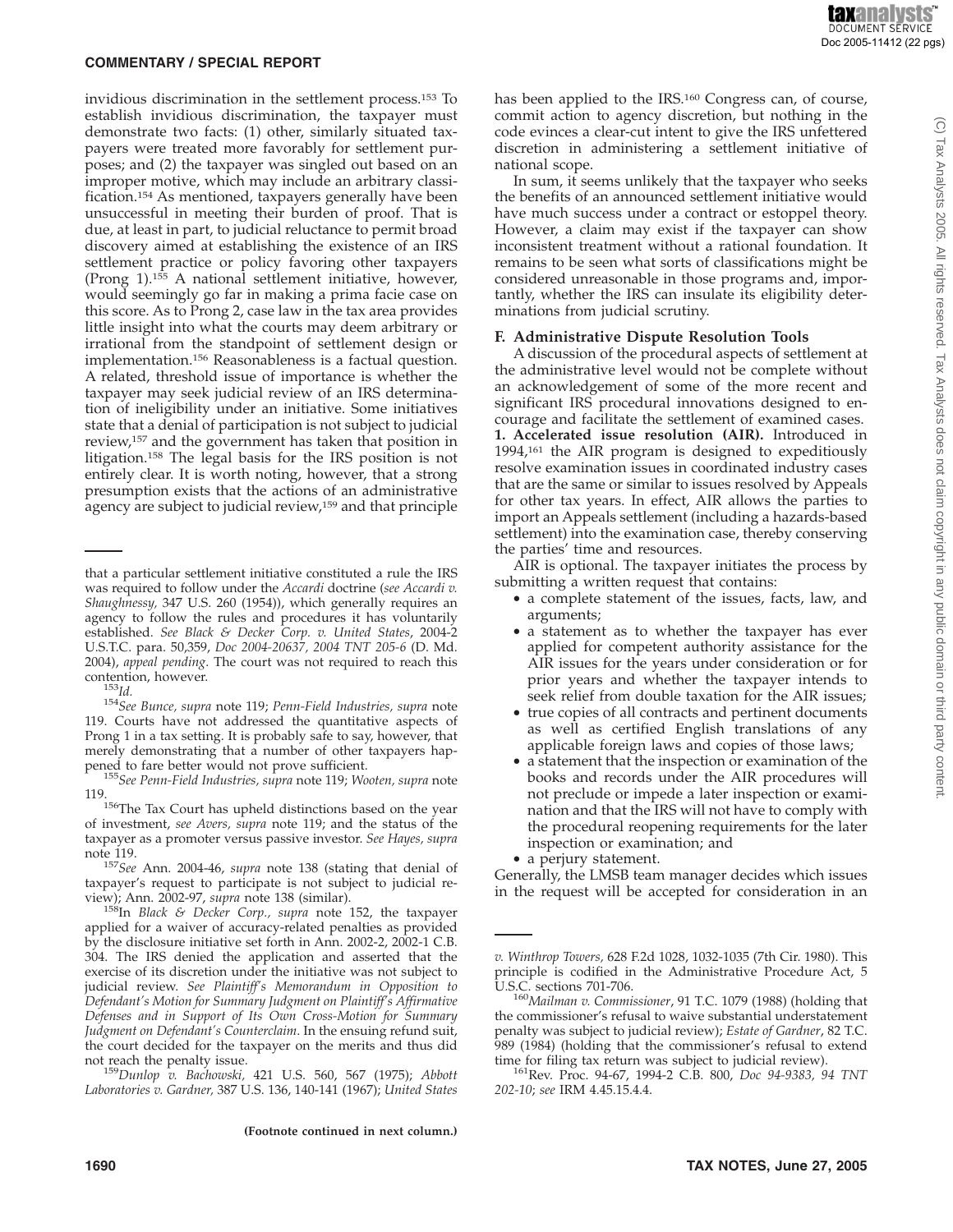invidious discrimination in the settlement process.153 To establish invidious discrimination, the taxpayer must demonstrate two facts: (1) other, similarly situated taxpayers were treated more favorably for settlement purposes; and (2) the taxpayer was singled out based on an improper motive, which may include an arbitrary classification.154 As mentioned, taxpayers generally have been unsuccessful in meeting their burden of proof. That is due, at least in part, to judicial reluctance to permit broad discovery aimed at establishing the existence of an IRS settlement practice or policy favoring other taxpayers (Prong 1).155 A national settlement initiative, however, would seemingly go far in making a prima facie case on this score. As to Prong 2, case law in the tax area provides little insight into what the courts may deem arbitrary or irrational from the standpoint of settlement design or implementation.156 Reasonableness is a factual question. A related, threshold issue of importance is whether the taxpayer may seek judicial review of an IRS determination of ineligibility under an initiative. Some initiatives state that a denial of participation is not subject to judicial review,157 and the government has taken that position in litigation.158 The legal basis for the IRS position is not entirely clear. It is worth noting, however, that a strong presumption exists that the actions of an administrative agency are subject to judicial review,<sup>159</sup> and that principle

<sup>153</sup>Id.<br><sup>154</sup>See Bunce, supra note 119; Penn-Field Industries, supra note 119. Courts have not addressed the quantitative aspects of Prong 1 in a tax setting. It is probably safe to say, however, that merely demonstrating that a number of other taxpayers happened to fare better would not prove sufficient. <sup>155</sup>*See Penn-Field Industries, supra* note 119; *Wooten, supra* note

119.<br><sup>156</sup>The Tax Court has upheld distinctions based on the year<br> $110.$  and the status of the of investment, *see Avers, supra* note 119; and the status of the taxpayer as a promoter versus passive investor. *See Hayes, supra*

<sup>157</sup>See Ann. 2004-46, *supra* note 138 (stating that denial of taxpayer's request to participate is not subject to judicial re-

<sup>159</sup>Dunlop v. Bachowski, 421 U.S. 560, 567 (1975); *Abbott Laboratories v. Gardner,* 387 U.S. 136, 140-141 (1967); *United States* has been applied to the IRS.<sup>160</sup> Congress can, of course, commit action to agency discretion, but nothing in the code evinces a clear-cut intent to give the IRS unfettered discretion in administering a settlement initiative of national scope.

In sum, it seems unlikely that the taxpayer who seeks the benefits of an announced settlement initiative would have much success under a contract or estoppel theory. However, a claim may exist if the taxpayer can show inconsistent treatment without a rational foundation. It remains to be seen what sorts of classifications might be considered unreasonable in those programs and, importantly, whether the IRS can insulate its eligibility determinations from judicial scrutiny.

#### **F. Administrative Dispute Resolution Tools**

A discussion of the procedural aspects of settlement at the administrative level would not be complete without an acknowledgement of some of the more recent and significant IRS procedural innovations designed to encourage and facilitate the settlement of examined cases. **1. Accelerated issue resolution (AIR).** Introduced in 1994,161 the AIR program is designed to expeditiously resolve examination issues in coordinated industry cases that are the same or similar to issues resolved by Appeals for other tax years. In effect, AIR allows the parties to import an Appeals settlement (including a hazards-based settlement) into the examination case, thereby conserving the parties' time and resources.

AIR is optional. The taxpayer initiates the process by submitting a written request that contains:

- a complete statement of the issues, facts, law, and arguments;
- a statement as to whether the taxpayer has ever applied for competent authority assistance for the AIR issues for the years under consideration or for prior years and whether the taxpayer intends to seek relief from double taxation for the AIR issues;
- true copies of all contracts and pertinent documents as well as certified English translations of any applicable foreign laws and copies of those laws;
- a statement that the inspection or examination of the books and records under the AIR procedures will not preclude or impede a later inspection or examination and that the IRS will not have to comply with the procedural reopening requirements for the later inspection or examination; and
- a perjury statement.

Generally, the LMSB team manager decides which issues in the request will be accepted for consideration in an

that a particular settlement initiative constituted a rule the IRS was required to follow under the *Accardi* doctrine (*see Accardi v. Shaughnessy,* 347 U.S. 260 (1954)), which generally requires an agency to follow the rules and procedures it has voluntarily established. *See Black & Decker Corp. v. United States*, 2004-2 U.S.T.C. para. 50,359, *Doc 2004-20637, 2004 TNT 205-6* (D. Md. 2004), *appeal pending*. The court was not required to reach this

view); Ann. 2002-97, *supra* note 138 (similar). 158In *Black & Decker Corp., supra* note 152, the taxpayer applied for a waiver of accuracy-related penalties as provided by the disclosure initiative set forth in Ann. 2002-2, 2002-1 C.B. 304. The IRS denied the application and asserted that the exercise of its discretion under the initiative was not subject to judicial review. *See Plaintiff's Memorandum in Opposition to Defendant's Motion for Summary Judgment on Plaintiff's Affirmative Defenses and in Support of Its Own Cross-Motion for Summary Judgment on Defendant's Counterclaim*. In the ensuing refund suit, the court decided for the taxpayer on the merits and thus did

*v. Winthrop Towers,* 628 F.2d 1028, 1032-1035 (7th Cir. 1980). This principle is codified in the Administrative Procedure Act, 5

<sup>&</sup>lt;sup>160</sup>Mailman v. Commissioner, 91 T.C. 1079 (1988) (holding that the commissioner's refusal to waive substantial understatement penalty was subject to judicial review); *Estate of Gardner*, 82 T.C. 989 (1984) (holding that the commissioner's refusal to extend time for filing tax return was subject to judicial review).

<sup>&</sup>lt;sup>161</sup>Rev. Proc. 94-67, 1994-2 C.B. 800, *Doc 94-9383, 94 TNT 202-10*; *see* IRM 4.45.15.4.4.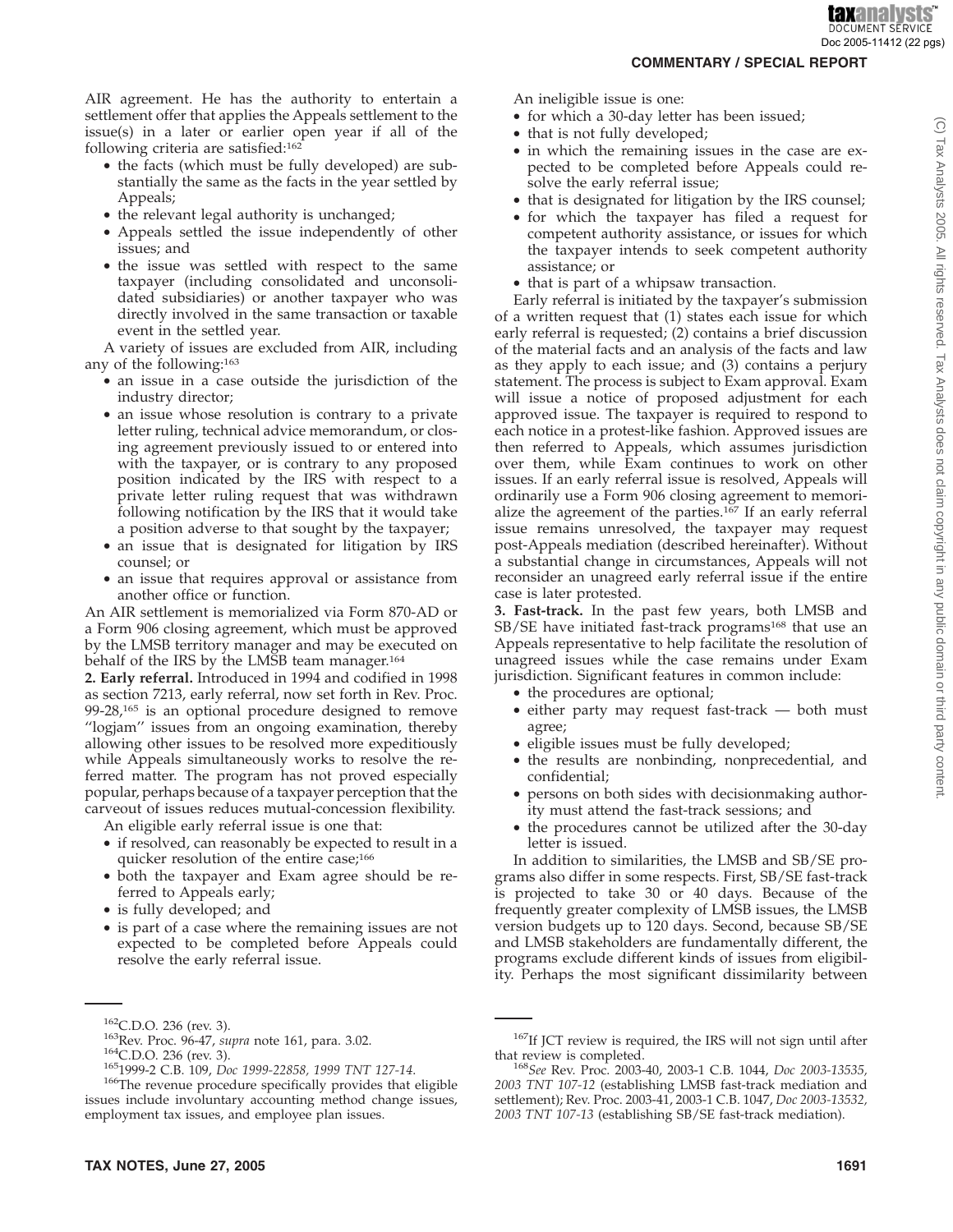analysts **DOCUMENT SERVICE** Doc 2005-11412 (22 pgs)

#### **COMMENTARY / SPECIAL REPORT**

AIR agreement. He has the authority to entertain a settlement offer that applies the Appeals settlement to the issue(s) in a later or earlier open year if all of the following criteria are satisfied:162

- the facts (which must be fully developed) are substantially the same as the facts in the year settled by Appeals;
- the relevant legal authority is unchanged;
- Appeals settled the issue independently of other issues; and
- the issue was settled with respect to the same taxpayer (including consolidated and unconsolidated subsidiaries) or another taxpayer who was directly involved in the same transaction or taxable event in the settled year.

A variety of issues are excluded from AIR, including any of the following:163

- an issue in a case outside the jurisdiction of the industry director;
- an issue whose resolution is contrary to a private letter ruling, technical advice memorandum, or closing agreement previously issued to or entered into with the taxpayer, or is contrary to any proposed position indicated by the IRS with respect to a private letter ruling request that was withdrawn following notification by the IRS that it would take a position adverse to that sought by the taxpayer;
- an issue that is designated for litigation by IRS counsel; or
- an issue that requires approval or assistance from another office or function.

An AIR settlement is memorialized via Form 870-AD or a Form 906 closing agreement, which must be approved by the LMSB territory manager and may be executed on behalf of the IRS by the LMSB team manager.<sup>164</sup>

**2. Early referral.** Introduced in 1994 and codified in 1998 as section 7213, early referral, now set forth in Rev. Proc. 99-28,165 is an optional procedure designed to remove "logiam" issues from an ongoing examination, thereby allowing other issues to be resolved more expeditiously while Appeals simultaneously works to resolve the referred matter. The program has not proved especially popular, perhaps because of a taxpayer perception that the carveout of issues reduces mutual-concession flexibility.

An eligible early referral issue is one that:

- if resolved, can reasonably be expected to result in a quicker resolution of the entire case;<sup>166</sup>
- both the taxpayer and Exam agree should be referred to Appeals early;
- is fully developed; and
- is part of a case where the remaining issues are not expected to be completed before Appeals could resolve the early referral issue.

An ineligible issue is one:

- for which a 30-day letter has been issued;
- that is not fully developed;
- in which the remaining issues in the case are expected to be completed before Appeals could resolve the early referral issue;
- that is designated for litigation by the IRS counsel;
- for which the taxpayer has filed a request for competent authority assistance, or issues for which the taxpayer intends to seek competent authority assistance; or
- that is part of a whipsaw transaction.

Early referral is initiated by the taxpayer's submission of a written request that (1) states each issue for which early referral is requested; (2) contains a brief discussion of the material facts and an analysis of the facts and law as they apply to each issue; and (3) contains a perjury statement. The process is subject to Exam approval. Exam will issue a notice of proposed adjustment for each approved issue. The taxpayer is required to respond to each notice in a protest-like fashion. Approved issues are then referred to Appeals, which assumes jurisdiction over them, while Exam continues to work on other issues. If an early referral issue is resolved, Appeals will ordinarily use a Form 906 closing agreement to memorialize the agreement of the parties.167 If an early referral issue remains unresolved, the taxpayer may request post-Appeals mediation (described hereinafter). Without a substantial change in circumstances, Appeals will not reconsider an unagreed early referral issue if the entire case is later protested.

**3. Fast-track.** In the past few years, both LMSB and SB/SE have initiated fast-track programs<sup>168</sup> that use an Appeals representative to help facilitate the resolution of unagreed issues while the case remains under Exam jurisdiction. Significant features in common include:

- the procedures are optional;
- either party may request fast-track both must agree;
- eligible issues must be fully developed;
- the results are nonbinding, nonprecedential, and confidential;
- persons on both sides with decisionmaking authority must attend the fast-track sessions; and
- the procedures cannot be utilized after the 30-day letter is issued.

In addition to similarities, the LMSB and SB/SE programs also differ in some respects. First, SB/SE fast-track is projected to take 30 or 40 days. Because of the frequently greater complexity of LMSB issues, the LMSB version budgets up to 120 days. Second, because SB/SE and LMSB stakeholders are fundamentally different, the programs exclude different kinds of issues from eligibility. Perhaps the most significant dissimilarity between

<sup>&</sup>lt;sup>162</sup>C.D.O. 236 (rev. 3).<br><sup>163</sup>Rev. Proc. 96-47, *supra* note 161, para. 3.02.<br><sup>164</sup>C.D.O. 236 (rev. 3).<br><sup>165</sup>1999-2 C.B. 109, *Doc 1999-22858, 1999 TNT 127-14*.<br><sup>166</sup>The revenue procedure specifically provides that eligib issues include involuntary accounting method change issues, employment tax issues, and employee plan issues.

 $167$ If JCT review is required, the IRS will not sign until after that review is completed.

that review is completed. <sup>168</sup>*See* Rev. Proc. 2003-40, 2003-1 C.B. 1044, *Doc 2003-13535, 2003 TNT 107-12* (establishing LMSB fast-track mediation and settlement); Rev. Proc. 2003-41, 2003-1 C.B. 1047, *Doc 2003-13532, 2003 TNT 107-13* (establishing SB/SE fast-track mediation).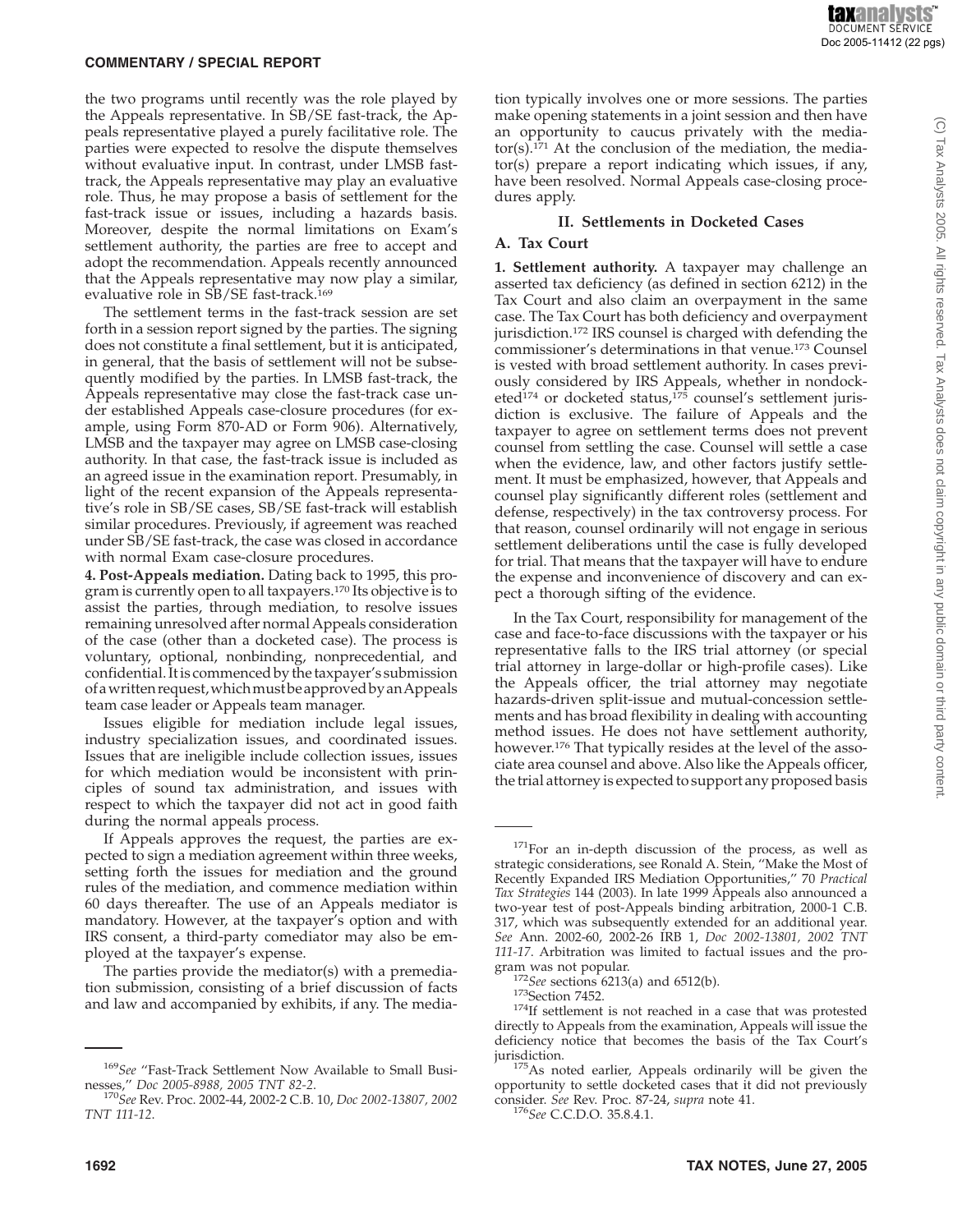the two programs until recently was the role played by the Appeals representative. In SB/SE fast-track, the Appeals representative played a purely facilitative role. The parties were expected to resolve the dispute themselves without evaluative input. In contrast, under LMSB fasttrack, the Appeals representative may play an evaluative role. Thus, he may propose a basis of settlement for the fast-track issue or issues, including a hazards basis. Moreover, despite the normal limitations on Exam's settlement authority, the parties are free to accept and adopt the recommendation. Appeals recently announced that the Appeals representative may now play a similar, evaluative role in SB/SE fast-track.169

The settlement terms in the fast-track session are set forth in a session report signed by the parties. The signing does not constitute a final settlement, but it is anticipated, in general, that the basis of settlement will not be subsequently modified by the parties. In LMSB fast-track, the Appeals representative may close the fast-track case under established Appeals case-closure procedures (for example, using Form 870-AD or Form 906). Alternatively, LMSB and the taxpayer may agree on LMSB case-closing authority. In that case, the fast-track issue is included as an agreed issue in the examination report. Presumably, in light of the recent expansion of the Appeals representative's role in SB/SE cases, SB/SE fast-track will establish similar procedures. Previously, if agreement was reached under SB/SE fast-track, the case was closed in accordance with normal Exam case-closure procedures.

**4. Post-Appeals mediation.** Dating back to 1995, this program is currently open to all taxpayers.170 Its objective is to assist the parties, through mediation, to resolve issues remaining unresolved after normal Appeals consideration of the case (other than a docketed case). The process is voluntary, optional, nonbinding, nonprecedential, and confidential. Itis commenced by the taxpayer's submission of awritten request,whichmustbe approvedby anAppeals team case leader or Appeals team manager.

Issues eligible for mediation include legal issues, industry specialization issues, and coordinated issues. Issues that are ineligible include collection issues, issues for which mediation would be inconsistent with principles of sound tax administration, and issues with respect to which the taxpayer did not act in good faith during the normal appeals process.

If Appeals approves the request, the parties are expected to sign a mediation agreement within three weeks, setting forth the issues for mediation and the ground rules of the mediation, and commence mediation within 60 days thereafter. The use of an Appeals mediator is mandatory. However, at the taxpayer's option and with IRS consent, a third-party comediator may also be employed at the taxpayer's expense.

The parties provide the mediator(s) with a premediation submission, consisting of a brief discussion of facts and law and accompanied by exhibits, if any. The mediation typically involves one or more sessions. The parties make opening statements in a joint session and then have an opportunity to caucus privately with the media $tor(s)$ .<sup>171</sup> At the conclusion of the mediation, the mediator(s) prepare a report indicating which issues, if any, have been resolved. Normal Appeals case-closing procedures apply.

#### **II. Settlements in Docketed Cases**

#### **A. Tax Court**

**1. Settlement authority.** A taxpayer may challenge an asserted tax deficiency (as defined in section 6212) in the Tax Court and also claim an overpayment in the same case. The Tax Court has both deficiency and overpayment jurisdiction.<sup>172</sup> IRS counsel is charged with defending the commissioner's determinations in that venue.173 Counsel is vested with broad settlement authority. In cases previously considered by IRS Appeals, whether in nondocketed<sup>174</sup> or docketed status,<sup>175</sup> counsel's settlement jurisdiction is exclusive. The failure of Appeals and the taxpayer to agree on settlement terms does not prevent counsel from settling the case. Counsel will settle a case when the evidence, law, and other factors justify settlement. It must be emphasized, however, that Appeals and counsel play significantly different roles (settlement and defense, respectively) in the tax controversy process. For that reason, counsel ordinarily will not engage in serious settlement deliberations until the case is fully developed for trial. That means that the taxpayer will have to endure the expense and inconvenience of discovery and can expect a thorough sifting of the evidence.

In the Tax Court, responsibility for management of the case and face-to-face discussions with the taxpayer or his representative falls to the IRS trial attorney (or special trial attorney in large-dollar or high-profile cases). Like the Appeals officer, the trial attorney may negotiate hazards-driven split-issue and mutual-concession settlements and has broad flexibility in dealing with accounting method issues. He does not have settlement authority, however.<sup>176</sup> That typically resides at the level of the associate area counsel and above. Also like the Appeals officer, the trial attorney is expected to support any proposed basis

<sup>&</sup>lt;sup>169</sup>See "Fast-Track Settlement Now Available to Small Businesses," *Doc* 2005-8988, 2005 TNT 82-2.

nesses,'' *Doc 2005-8988, 2005 TNT 82-2*. <sup>170</sup>*See* Rev. Proc. 2002-44, 2002-2 C.B. 10, *Doc 2002-13807, 2002 TNT 111-12*.

<sup>&</sup>lt;sup>171</sup>For an in-depth discussion of the process, as well as strategic considerations, see Ronald A. Stein, ''Make the Most of Recently Expanded IRS Mediation Opportunities,'' 70 *Practical Tax Strategies* 144 (2003). In late 1999 Appeals also announced a two-year test of post-Appeals binding arbitration, 2000-1 C.B. 317, which was subsequently extended for an additional year. *See* Ann. 2002-60, 2002-26 IRB 1, *Doc 2002-13801, 2002 TNT 111-17*. Arbitration was limited to factual issues and the pro-

gram was not popular.<br><sup>172</sup>*See* sections 6213(a) and 6512(b).<br><sup>173</sup>Section 7452.<br><sup>174</sup>If settlement is not reached in a case that was protested directly to Appeals from the examination, Appeals will issue the deficiency notice that becomes the basis of the Tax Court's

jurisdiction. 175As noted earlier, Appeals ordinarily will be given the opportunity to settle docketed cases that it did not previously consider. *See* Rev. Proc. 87-24, *supra* note 41. <sup>176</sup>*See* C.C.D.O. 35.8.4.1.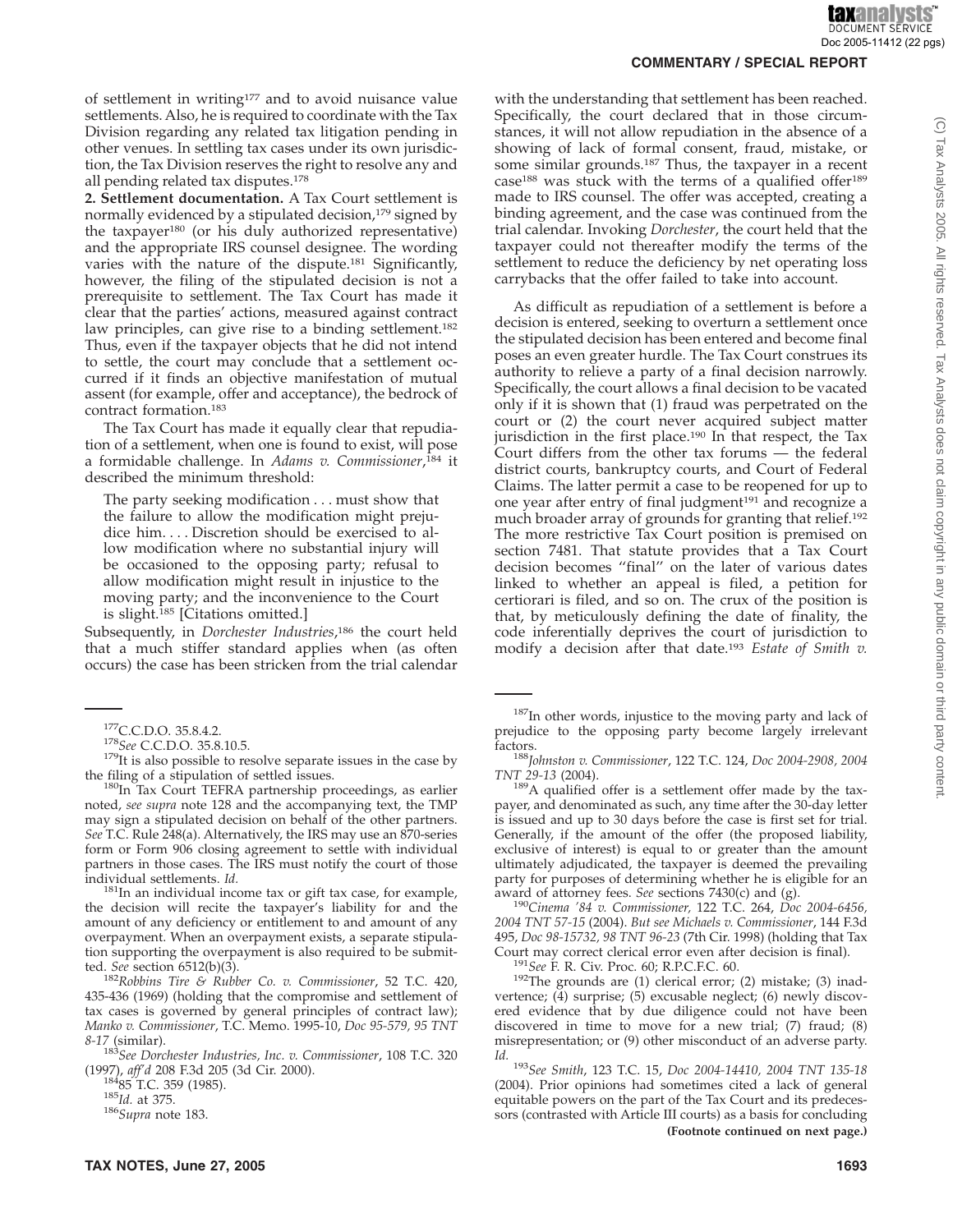of settlement in writing<sup>177</sup> and to avoid nuisance value settlements. Also, he is required to coordinate with the Tax Division regarding any related tax litigation pending in other venues. In settling tax cases under its own jurisdiction, the Tax Division reserves the right to resolve any and all pending related tax disputes.178

**2. Settlement documentation.** A Tax Court settlement is normally evidenced by a stipulated decision,<sup>179</sup> signed by the taxpayer<sup>180</sup> (or his duly authorized representative) and the appropriate IRS counsel designee. The wording varies with the nature of the dispute.181 Significantly, however, the filing of the stipulated decision is not a prerequisite to settlement. The Tax Court has made it clear that the parties' actions, measured against contract law principles, can give rise to a binding settlement.<sup>182</sup> Thus, even if the taxpayer objects that he did not intend to settle, the court may conclude that a settlement occurred if it finds an objective manifestation of mutual assent (for example, offer and acceptance), the bedrock of contract formation.183

The Tax Court has made it equally clear that repudiation of a settlement, when one is found to exist, will pose a formidable challenge. In *Adams v. Commissioner*, <sup>184</sup> it described the minimum threshold:

The party seeking modification... must show that the failure to allow the modification might prejudice him.... Discretion should be exercised to allow modification where no substantial injury will be occasioned to the opposing party; refusal to allow modification might result in injustice to the moving party; and the inconvenience to the Court is slight.<sup>185</sup> [Citations omitted.]

Subsequently, in *Dorchester Industries*, <sup>186</sup> the court held that a much stiffer standard applies when (as often occurs) the case has been stricken from the trial calendar

<sup>177</sup>C.C.D.O. 35.8.4.2.<br><sup>178</sup>*See* C.C.D.O. 35.8.10.5.<br><sup>179</sup>It is also possible to resolve separate issues in the case by

the filing of a stipulation of settled issues.<br><sup>180</sup>In Tax Court TEFRA partnership proceedings, as earlier noted, *see supra* note 128 and the accompanying text, the TMP may sign a stipulated decision on behalf of the other partners. *See* T.C. Rule 248(a). Alternatively, the IRS may use an 870-series form or Form 906 closing agreement to settle with individual partners in those cases. The IRS must notify the court of those individual settlements. *Id.* 

<sup>181</sup>In an individual income tax or gift tax case, for example, the decision will recite the taxpayer's liability for and the amount of any deficiency or entitlement to and amount of any overpayment. When an overpayment exists, a separate stipulation supporting the overpayment is also required to be submitted. *See* section 6512(b)(3).<br><sup>182</sup>Robbins Tire & Rubber Co. v. Commissioner, 52 T.C. 420,

435-436 (1969) (holding that the compromise and settlement of tax cases is governed by general principles of contract law); *Manko v. Commissioner*, T.C. Memo. 1995-10, *Doc 95-579, 95 TNT*

*8-17* (similar). <sup>183</sup>*See Dorchester Industries, Inc. v. Commissioner*, 108 T.C. 320

(1997), *aff'd* 208 F.3d 205 (3d Cir. 2000). 18485 T.C. 359 (1985). <sup>185</sup>*Id.* at 375. <sup>186</sup>*Supra* note 183.

with the understanding that settlement has been reached. Specifically, the court declared that in those circumstances, it will not allow repudiation in the absence of a showing of lack of formal consent, fraud, mistake, or some similar grounds.187 Thus, the taxpayer in a recent case188 was stuck with the terms of a qualified offer189 made to IRS counsel. The offer was accepted, creating a binding agreement, and the case was continued from the trial calendar. Invoking *Dorchester*, the court held that the taxpayer could not thereafter modify the terms of the settlement to reduce the deficiency by net operating loss carrybacks that the offer failed to take into account.

As difficult as repudiation of a settlement is before a decision is entered, seeking to overturn a settlement once the stipulated decision has been entered and become final poses an even greater hurdle. The Tax Court construes its authority to relieve a party of a final decision narrowly. Specifically, the court allows a final decision to be vacated only if it is shown that (1) fraud was perpetrated on the court or (2) the court never acquired subject matter jurisdiction in the first place.190 In that respect, the Tax Court differs from the other tax forums — the federal district courts, bankruptcy courts, and Court of Federal Claims. The latter permit a case to be reopened for up to one year after entry of final judgment<sup>191</sup> and recognize a much broader array of grounds for granting that relief.192 The more restrictive Tax Court position is premised on section 7481. That statute provides that a Tax Court decision becomes ''final'' on the later of various dates linked to whether an appeal is filed, a petition for certiorari is filed, and so on. The crux of the position is that, by meticulously defining the date of finality, the code inferentially deprives the court of jurisdiction to modify a decision after that date.193 *Estate of Smith v.*

factors. <sup>188</sup>*Johnston v. Commissioner*, 122 T.C. 124, *Doc 2004-2908, 2004*

<sup>189</sup>A qualified offer is a settlement offer made by the taxpayer, and denominated as such, any time after the 30-day letter is issued and up to 30 days before the case is first set for trial. Generally, if the amount of the offer (the proposed liability, exclusive of interest) is equal to or greater than the amount ultimately adjudicated, the taxpayer is deemed the prevailing party for purposes of determining whether he is eligible for an

award of attorney fees. *See* sections 7430(c) and (g). <sup>190</sup>*Cinema '84 v. Commissioner,* 122 T.C. 264, *Doc 2004-6456, 2004 TNT 57-15* (2004). *But see Michaels v. Commissioner*, 144 F.3d 495, *Doc 98-15732, 98 TNT 96-23* (7th Cir. 1998) (holding that Tax Court may correct clerical error even after decision is final).<br><sup>191</sup>*See* F. R. Civ. Proc. 60; R.P.C.F.C. 60.<br><sup>192</sup>The grounds are (1) clerical error; (2) mistake; (3) inad-

vertence; (4) surprise; (5) excusable neglect; (6) newly discovered evidence that by due diligence could not have been discovered in time to move for a new trial; (7) fraud; (8) misrepresentation; or (9) other misconduct of an adverse party.

*Id.* <sup>193</sup>*See Smith*, 123 T.C. 15, *Doc 2004-14410, 2004 TNT 135-18* (2004). Prior opinions had sometimes cited a lack of general equitable powers on the part of the Tax Court and its predecessors (contrasted with Article III courts) as a basis for concluding **(Footnote continued on next page.)**

<sup>&</sup>lt;sup>187</sup>In other words, injustice to the moving party and lack of prejudice to the opposing party become largely irrelevant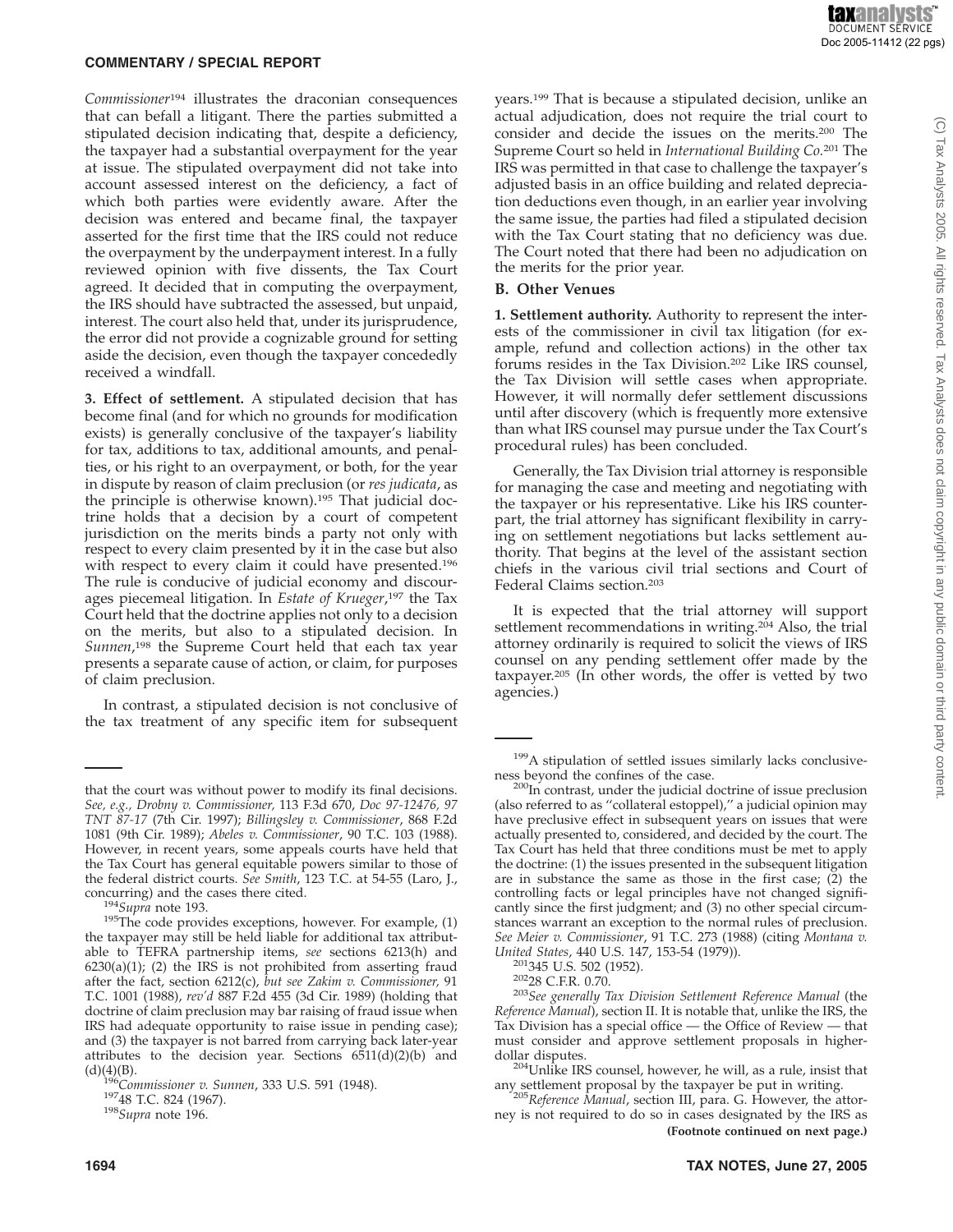*Commissioner*<sup>194</sup> illustrates the draconian consequences that can befall a litigant. There the parties submitted a stipulated decision indicating that, despite a deficiency, the taxpayer had a substantial overpayment for the year at issue. The stipulated overpayment did not take into account assessed interest on the deficiency, a fact of which both parties were evidently aware. After the decision was entered and became final, the taxpayer asserted for the first time that the IRS could not reduce the overpayment by the underpayment interest. In a fully reviewed opinion with five dissents, the Tax Court agreed. It decided that in computing the overpayment, the IRS should have subtracted the assessed, but unpaid, interest. The court also held that, under its jurisprudence, the error did not provide a cognizable ground for setting aside the decision, even though the taxpayer concededly received a windfall.

**3. Effect of settlement.** A stipulated decision that has become final (and for which no grounds for modification exists) is generally conclusive of the taxpayer's liability for tax, additions to tax, additional amounts, and penalties, or his right to an overpayment, or both, for the year in dispute by reason of claim preclusion (or *res judicata*, as the principle is otherwise known).195 That judicial doctrine holds that a decision by a court of competent jurisdiction on the merits binds a party not only with respect to every claim presented by it in the case but also with respect to every claim it could have presented.<sup>196</sup> The rule is conducive of judicial economy and discourages piecemeal litigation. In *Estate of Krueger*, <sup>197</sup> the Tax Court held that the doctrine applies not only to a decision on the merits, but also to a stipulated decision. In *Sunnen*, <sup>198</sup> the Supreme Court held that each tax year presents a separate cause of action, or claim, for purposes of claim preclusion.

In contrast, a stipulated decision is not conclusive of the tax treatment of any specific item for subsequent

years.199 That is because a stipulated decision, unlike an actual adjudication, does not require the trial court to consider and decide the issues on the merits.200 The Supreme Court so held in *International Building Co.*<sup>201</sup> The IRS was permitted in that case to challenge the taxpayer's adjusted basis in an office building and related depreciation deductions even though, in an earlier year involving the same issue, the parties had filed a stipulated decision with the Tax Court stating that no deficiency was due. The Court noted that there had been no adjudication on the merits for the prior year.

#### **B. Other Venues**

**1. Settlement authority.** Authority to represent the interests of the commissioner in civil tax litigation (for example, refund and collection actions) in the other tax forums resides in the Tax Division.202 Like IRS counsel, the Tax Division will settle cases when appropriate. However, it will normally defer settlement discussions until after discovery (which is frequently more extensive than what IRS counsel may pursue under the Tax Court's procedural rules) has been concluded.

Generally, the Tax Division trial attorney is responsible for managing the case and meeting and negotiating with the taxpayer or his representative. Like his IRS counterpart, the trial attorney has significant flexibility in carrying on settlement negotiations but lacks settlement authority. That begins at the level of the assistant section chiefs in the various civil trial sections and Court of Federal Claims section.203

It is expected that the trial attorney will support settlement recommendations in writing.<sup>204</sup> Also, the trial attorney ordinarily is required to solicit the views of IRS counsel on any pending settlement offer made by the taxpayer.205 (In other words, the offer is vetted by two agencies.)

*United States*, 440 U.S. 147, 153-54 (1979)). 201345 U.S. 502 (1952). 20228 C.F.R. 0.70. <sup>203</sup>*See generally Tax Division Settlement Reference Manual* (the *Reference Manual*), section II. It is notable that, unlike the IRS, the Tax Division has a special office — the Office of Review — that must consider and approve settlement proposals in higherdollar disputes.<br><sup>204</sup>Unlike IRS counsel, however, he will, as a rule, insist that

any settlement proposal by the taxpayer be put in writing. <sup>205</sup>*Reference Manual*, section III, para. G. However, the attor-

ney is not required to do so in cases designated by the IRS as **(Footnote continued on next page.)**

that the court was without power to modify its final decisions. *See, e.g., Drobny v. Commissioner,* 113 F.3d 670, *Doc 97-12476, 97 TNT 87-17* (7th Cir. 1997); *Billingsley v. Commissioner*, 868 F.2d 1081 (9th Cir. 1989); *Abeles v. Commissioner*, 90 T.C. 103 (1988). However, in recent years, some appeals courts have held that the Tax Court has general equitable powers similar to those of the federal district courts. *See Smith*, 123 T.C. at 54-55 (Laro, J.,

concurring) and the cases there cited.<br><sup>194</sup>*Supra* note 193. <sup>195</sup>The code provides exceptions, however. For example, (1) the taxpayer may still be held liable for additional tax attributable to TEFRA partnership items, *see* sections 6213(h) and  $6230(a)(1)$ ; (2) the IRS is not prohibited from asserting fraud after the fact, section 6212(c), *but see Zakim v. Commissioner,* 91 T.C. 1001 (1988), *rev'd* 887 F.2d 455 (3d Cir. 1989) (holding that doctrine of claim preclusion may bar raising of fraud issue when IRS had adequate opportunity to raise issue in pending case); and (3) the taxpayer is not barred from carrying back later-year attributes to the decision year. Sections  $6511(d)(2)(b)$  and

<sup>(</sup>d)(4)(B). <sup>196</sup>*Commissioner v. Sunnen*, 333 U.S. 591 (1948). 19748 T.C. 824 (1967). <sup>198</sup>*Supra* note 196.

<sup>&</sup>lt;sup>199</sup>A stipulation of settled issues similarly lacks conclusive-

ness beyond the confines of the case.<br><sup>200</sup>In contrast, under the judicial doctrine of issue preclusion (also referred to as ''collateral estoppel),'' a judicial opinion may have preclusive effect in subsequent years on issues that were actually presented to, considered, and decided by the court. The Tax Court has held that three conditions must be met to apply the doctrine: (1) the issues presented in the subsequent litigation are in substance the same as those in the first case; (2) the controlling facts or legal principles have not changed significantly since the first judgment; and (3) no other special circumstances warrant an exception to the normal rules of preclusion. *See Meier v. Commissioner*, 91 T.C. 273 (1988) (citing *Montana v.*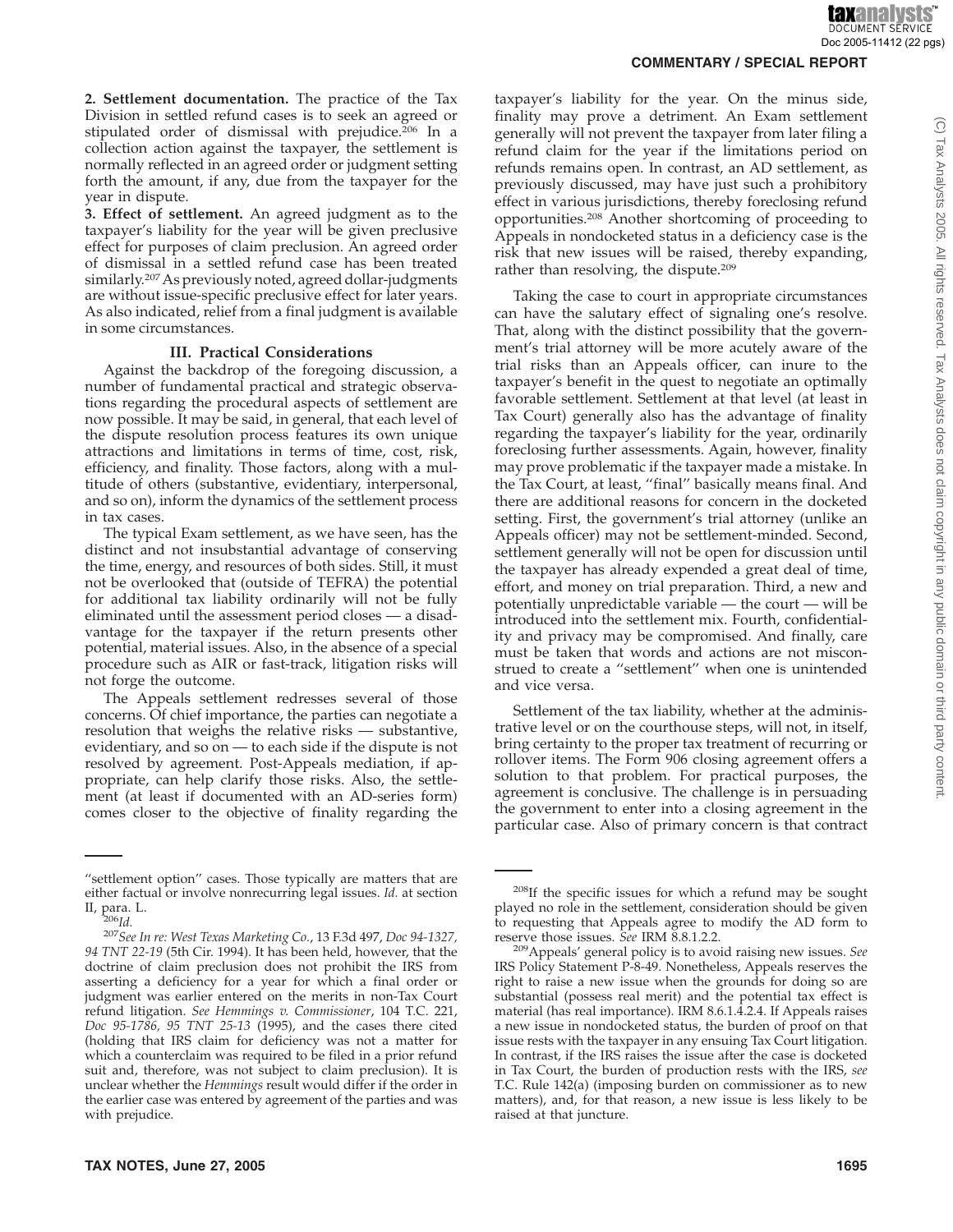(C) Tax Analysts 2005. All rights reserved. Tax Analysts does not claim copyright in any public domain or third party content

**2. Settlement documentation.** The practice of the Tax Division in settled refund cases is to seek an agreed or stipulated order of dismissal with prejudice.206 In a collection action against the taxpayer, the settlement is normally reflected in an agreed order or judgment setting forth the amount, if any, due from the taxpayer for the year in dispute.

**3. Effect of settlement.** An agreed judgment as to the taxpayer's liability for the year will be given preclusive effect for purposes of claim preclusion. An agreed order of dismissal in a settled refund case has been treated similarly.207As previously noted, agreed dollar-judgments are without issue-specific preclusive effect for later years. As also indicated, relief from a final judgment is available in some circumstances.

#### **III. Practical Considerations**

Against the backdrop of the foregoing discussion, a number of fundamental practical and strategic observations regarding the procedural aspects of settlement are now possible. It may be said, in general, that each level of the dispute resolution process features its own unique attractions and limitations in terms of time, cost, risk, efficiency, and finality. Those factors, along with a multitude of others (substantive, evidentiary, interpersonal, and so on), inform the dynamics of the settlement process in tax cases.

The typical Exam settlement, as we have seen, has the distinct and not insubstantial advantage of conserving the time, energy, and resources of both sides. Still, it must not be overlooked that (outside of TEFRA) the potential for additional tax liability ordinarily will not be fully eliminated until the assessment period closes — a disadvantage for the taxpayer if the return presents other potential, material issues. Also, in the absence of a special procedure such as AIR or fast-track, litigation risks will not forge the outcome.

The Appeals settlement redresses several of those concerns. Of chief importance, the parties can negotiate a resolution that weighs the relative risks — substantive, evidentiary, and so on — to each side if the dispute is not resolved by agreement. Post-Appeals mediation, if appropriate, can help clarify those risks. Also, the settlement (at least if documented with an AD-series form) comes closer to the objective of finality regarding the

taxpayer's liability for the year. On the minus side, finality may prove a detriment. An Exam settlement generally will not prevent the taxpayer from later filing a refund claim for the year if the limitations period on refunds remains open. In contrast, an AD settlement, as previously discussed, may have just such a prohibitory effect in various jurisdictions, thereby foreclosing refund opportunities.208 Another shortcoming of proceeding to Appeals in nondocketed status in a deficiency case is the risk that new issues will be raised, thereby expanding, rather than resolving, the dispute.209

Taking the case to court in appropriate circumstances can have the salutary effect of signaling one's resolve. That, along with the distinct possibility that the government's trial attorney will be more acutely aware of the trial risks than an Appeals officer, can inure to the taxpayer's benefit in the quest to negotiate an optimally favorable settlement. Settlement at that level (at least in Tax Court) generally also has the advantage of finality regarding the taxpayer's liability for the year, ordinarily foreclosing further assessments. Again, however, finality may prove problematic if the taxpayer made a mistake. In the Tax Court, at least, ''final'' basically means final. And there are additional reasons for concern in the docketed setting. First, the government's trial attorney (unlike an Appeals officer) may not be settlement-minded. Second, settlement generally will not be open for discussion until the taxpayer has already expended a great deal of time, effort, and money on trial preparation. Third, a new and potentially unpredictable variable — the court — will be introduced into the settlement mix. Fourth, confidentiality and privacy may be compromised. And finally, care must be taken that words and actions are not misconstrued to create a ''settlement'' when one is unintended and vice versa.

Settlement of the tax liability, whether at the administrative level or on the courthouse steps, will not, in itself, bring certainty to the proper tax treatment of recurring or rollover items. The Form 906 closing agreement offers a solution to that problem. For practical purposes, the agreement is conclusive. The challenge is in persuading the government to enter into a closing agreement in the particular case. Also of primary concern is that contract

<sup>&</sup>quot;settlement option" cases. Those typically are matters that are either factual or involve nonrecurring legal issues. *Id.* at section

II, para. L. <sup>206</sup>*Id.* <sup>207</sup>*See In re: West Texas Marketing Co.*, 13 F.3d 497, *Doc 94-1327, 94 TNT 22-19* (5th Cir. 1994). It has been held, however, that the doctrine of claim preclusion does not prohibit the IRS from asserting a deficiency for a year for which a final order or judgment was earlier entered on the merits in non-Tax Court refund litigation. *See Hemmings v. Commissioner*, 104 T.C. 221, *Doc 95-1786, 95 TNT 25-13* (1995), and the cases there cited (holding that IRS claim for deficiency was not a matter for which a counterclaim was required to be filed in a prior refund suit and, therefore, was not subject to claim preclusion). It is unclear whether the *Hemmings* result would differ if the order in the earlier case was entered by agreement of the parties and was with prejudice.

<sup>&</sup>lt;sup>208</sup>If the specific issues for which a refund may be sought played no role in the settlement, consideration should be given to requesting that Appeals agree to modify the AD form to

reserve those issues. *See* IRM 8.8.1.2.2.<br><sup>209</sup>Appeals' general policy is to avoid raising new issues. *See* IRS Policy Statement P-8-49. Nonetheless, Appeals reserves the right to raise a new issue when the grounds for doing so are substantial (possess real merit) and the potential tax effect is material (has real importance). IRM 8.6.1.4.2.4. If Appeals raises a new issue in nondocketed status, the burden of proof on that issue rests with the taxpayer in any ensuing Tax Court litigation. In contrast, if the IRS raises the issue after the case is docketed in Tax Court, the burden of production rests with the IRS, *see* T.C. Rule 142(a) (imposing burden on commissioner as to new matters), and, for that reason, a new issue is less likely to be raised at that juncture.